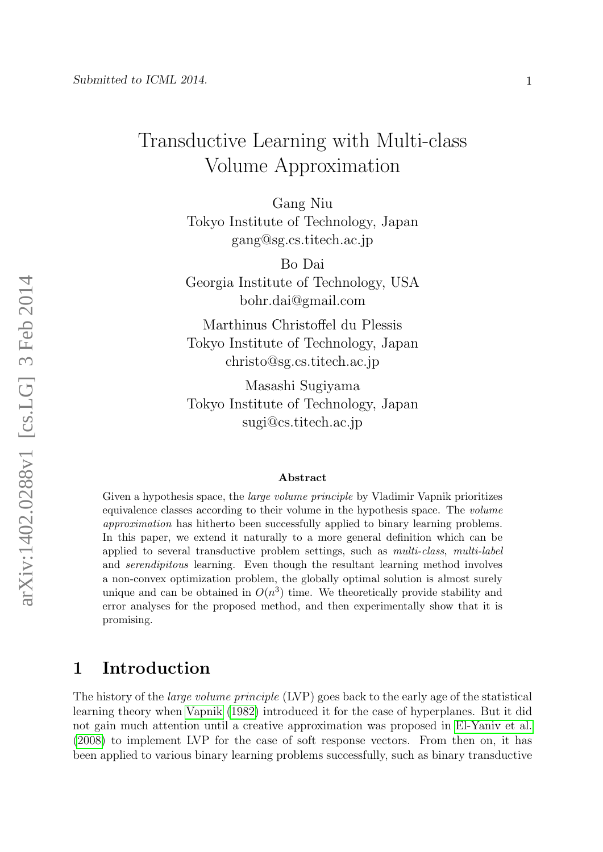# Transductive Learning with Multi-class Volume Approximation

Gang Niu Tokyo Institute of Technology, Japan gang@sg.cs.titech.ac.jp

Bo Dai Georgia Institute of Technology, USA bohr.dai@gmail.com

Marthinus Christoffel du Plessis Tokyo Institute of Technology, Japan christo@sg.cs.titech.ac.jp

Masashi Sugiyama Tokyo Institute of Technology, Japan sugi@cs.titech.ac.jp

#### Abstract

Given a hypothesis space, the *large volume principle* by Vladimir Vapnik prioritizes equivalence classes according to their volume in the hypothesis space. The volume approximation has hitherto been successfully applied to binary learning problems. In this paper, we extend it naturally to a more general definition which can be applied to several transductive problem settings, such as multi-class, multi-label and serendipitous learning. Even though the resultant learning method involves a non-convex optimization problem, the globally optimal solution is almost surely unique and can be obtained in  $O(n^3)$  time. We theoretically provide stability and error analyses for the proposed method, and then experimentally show that it is promising.

## 1 Introduction

The history of the *large volume principle* (LVP) goes back to the early age of the statistical learning theory when [Vapnik](#page-21-0) [\(1982\)](#page-21-0) introduced it for the case of hyperplanes. But it did not gain much attention until a creative approximation was proposed in [El-Yaniv et al.](#page-20-0) [\(2008\)](#page-20-0) to implement LVP for the case of soft response vectors. From then on, it has been applied to various binary learning problems successfully, such as binary transductive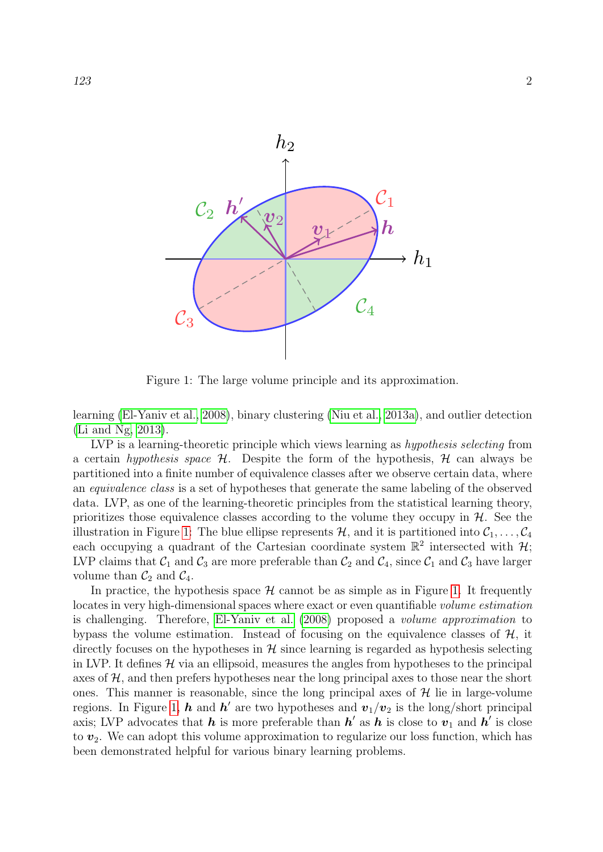

<span id="page-1-0"></span>Figure 1: The large volume principle and its approximation.

learning [\(El-Yaniv et al., 2008\)](#page-20-0), binary clustering [\(Niu et al., 2013a\)](#page-21-1), and outlier detection [\(Li and Ng, 2013\)](#page-20-1).

LVP is a learning-theoretic principle which views learning as hypothesis selecting from a certain hypothesis space  $H$ . Despite the form of the hypothesis,  $H$  can always be partitioned into a finite number of equivalence classes after we observe certain data, where an equivalence class is a set of hypotheses that generate the same labeling of the observed data. LVP, as one of the learning-theoretic principles from the statistical learning theory, prioritizes those equivalence classes according to the volume they occupy in  $H$ . See the illustration in Figure [1:](#page-1-0) The blue ellipse represents  $H$ , and it is partitioned into  $C_1, \ldots, C_4$ each occupying a quadrant of the Cartesian coordinate system  $\mathbb{R}^2$  intersected with  $\mathcal{H}$ ; LVP claims that  $C_1$  and  $C_3$  are more preferable than  $C_2$  and  $C_4$ , since  $C_1$  and  $C_3$  have larger volume than  $\mathcal{C}_2$  and  $\mathcal{C}_4$ .

In practice, the hypothesis space  $H$  cannot be as simple as in Figure [1.](#page-1-0) It frequently locates in very high-dimensional spaces where exact or even quantifiable volume estimation is challenging. Therefore, [El-Yaniv et al.](#page-20-0) [\(2008\)](#page-20-0) proposed a volume approximation to bypass the volume estimation. Instead of focusing on the equivalence classes of  $H$ , it directly focuses on the hypotheses in  $\mathcal{H}$  since learning is regarded as hypothesis selecting in LVP. It defines  $\mathcal H$  via an ellipsoid, measures the angles from hypotheses to the principal axes of  $H$ , and then prefers hypotheses near the long principal axes to those near the short ones. This manner is reasonable, since the long principal axes of  $\mathcal{H}$  lie in large-volume regions. In Figure [1,](#page-1-0)  $h$  and  $h'$  are two hypotheses and  $v_1/v_2$  is the long/short principal axis; LVP advocates that  $h$  is more preferable than  $h'$  as  $h$  is close to  $v_1$  and  $h'$  is close to  $v_2$ . We can adopt this volume approximation to regularize our loss function, which has been demonstrated helpful for various binary learning problems.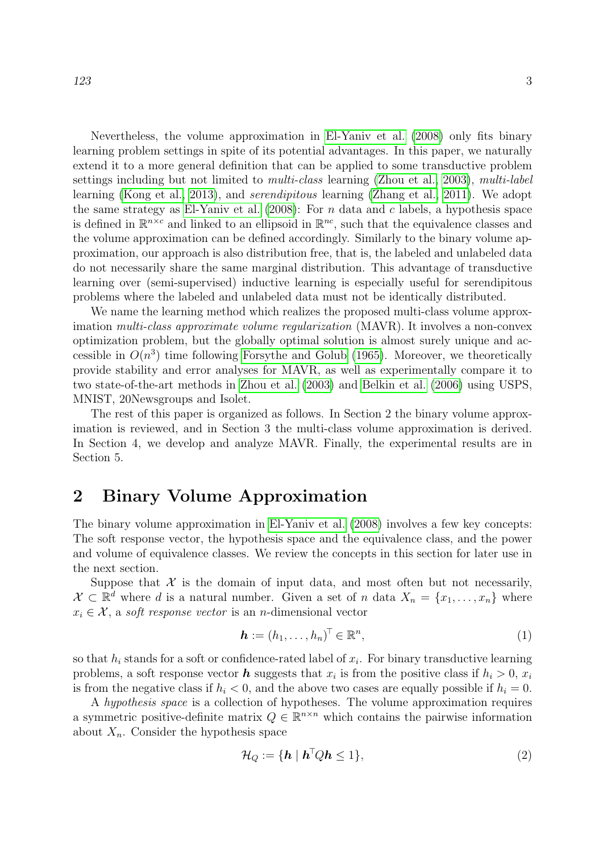Nevertheless, the volume approximation in [El-Yaniv et al.](#page-20-0) [\(2008\)](#page-20-0) only fits binary learning problem settings in spite of its potential advantages. In this paper, we naturally extend it to a more general definition that can be applied to some transductive problem settings including but not limited to *multi-class* learning [\(Zhou et al., 2003\)](#page-21-2), *multi-label* learning [\(Kong et al., 2013\)](#page-20-2), and serendipitous learning [\(Zhang et al., 2011\)](#page-21-3). We adopt the same strategy as [El-Yaniv et al.](#page-20-0)  $(2008)$ : For n data and c labels, a hypothesis space is defined in  $\mathbb{R}^{n \times c}$  and linked to an ellipsoid in  $\mathbb{R}^{nc}$ , such that the equivalence classes and the volume approximation can be defined accordingly. Similarly to the binary volume approximation, our approach is also distribution free, that is, the labeled and unlabeled data do not necessarily share the same marginal distribution. This advantage of transductive learning over (semi-supervised) inductive learning is especially useful for serendipitous problems where the labeled and unlabeled data must not be identically distributed.

We name the learning method which realizes the proposed multi-class volume approximation multi-class approximate volume regularization (MAVR). It involves a non-convex optimization problem, but the globally optimal solution is almost surely unique and accessible in  $O(n^3)$  time following [Forsythe and Golub](#page-20-3) [\(1965\)](#page-20-3). Moreover, we theoretically provide stability and error analyses for MAVR, as well as experimentally compare it to two state-of-the-art methods in [Zhou et al.](#page-21-2) [\(2003\)](#page-21-2) and [Belkin et al.](#page-20-4) [\(2006\)](#page-20-4) using USPS, MNIST, 20Newsgroups and Isolet.

The rest of this paper is organized as follows. In Section 2 the binary volume approximation is reviewed, and in Section 3 the multi-class volume approximation is derived. In Section 4, we develop and analyze MAVR. Finally, the experimental results are in Section 5.

# 2 Binary Volume Approximation

The binary volume approximation in [El-Yaniv et al.](#page-20-0) [\(2008\)](#page-20-0) involves a few key concepts: The soft response vector, the hypothesis space and the equivalence class, and the power and volume of equivalence classes. We review the concepts in this section for later use in the next section.

Suppose that  $\mathcal X$  is the domain of input data, and most often but not necessarily,  $\mathcal{X} \subset \mathbb{R}^d$  where d is a natural number. Given a set of n data  $X_n = \{x_1, \ldots, x_n\}$  where  $x_i \in \mathcal{X}$ , a soft response vector is an n-dimensional vector

<span id="page-2-1"></span>
$$
\mathbf{h} := (h_1, \dots, h_n)^\top \in \mathbb{R}^n,
$$
\n<sup>(1)</sup>

so that  $h_i$  stands for a soft or confidence-rated label of  $x_i$ . For binary transductive learning problems, a soft response vector **h** suggests that  $x_i$  is from the positive class if  $h_i > 0$ ,  $x_i$ is from the negative class if  $h_i < 0$ , and the above two cases are equally possible if  $h_i = 0$ .

A hypothesis space is a collection of hypotheses. The volume approximation requires a symmetric positive-definite matrix  $Q \in \mathbb{R}^{n \times n}$  which contains the pairwise information about  $X_n$ . Consider the hypothesis space

<span id="page-2-0"></span>
$$
\mathcal{H}_Q := \{ \mathbf{h} \mid \mathbf{h}^\top Q \mathbf{h} \le 1 \},\tag{2}
$$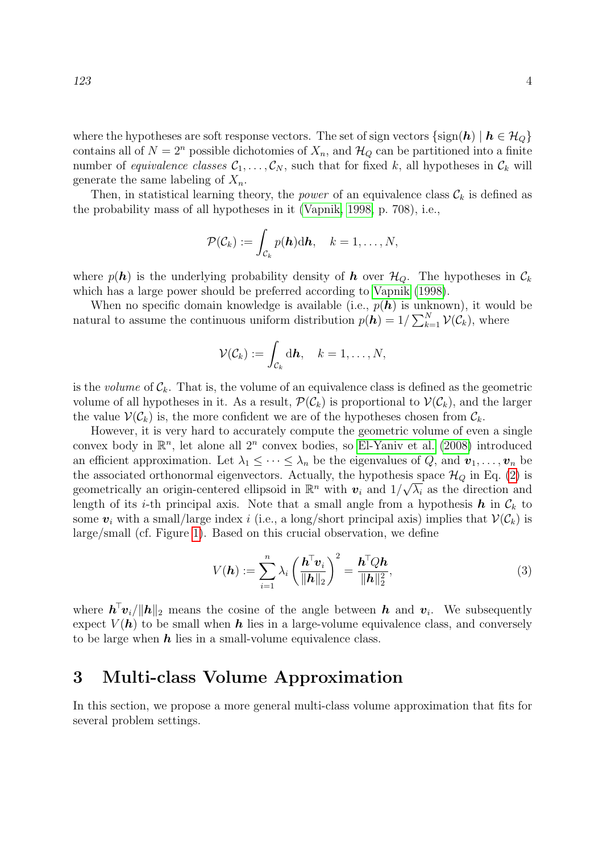where the hypotheses are soft response vectors. The set of sign vectors  $\{\text{sign}(\mathbf{h}) \mid \mathbf{h} \in \mathcal{H}_Q\}$ contains all of  $N = 2^n$  possible dichotomies of  $X_n$ , and  $\mathcal{H}_Q$  can be partitioned into a finite number of equivalence classes  $\mathcal{C}_1, \ldots, \mathcal{C}_N$ , such that for fixed k, all hypotheses in  $\mathcal{C}_k$  will generate the same labeling of  $X_n$ .

Then, in statistical learning theory, the *power* of an equivalence class  $\mathcal{C}_k$  is defined as the probability mass of all hypotheses in it [\(Vapnik, 1998,](#page-21-4) p. 708), i.e.,

$$
\mathcal{P}(\mathcal{C}_k) := \int_{\mathcal{C}_k} p(\mathbf{h}) \mathrm{d}\mathbf{h}, \quad k = 1, \ldots, N,
$$

where  $p(h)$  is the underlying probability density of h over  $\mathcal{H}_Q$ . The hypotheses in  $\mathcal{C}_k$ which has a large power should be preferred according to [Vapnik](#page-21-4) [\(1998\)](#page-21-4).

When no specific domain knowledge is available (i.e.,  $p(h)$  is unknown), it would be natural to assume the continuous uniform distribution  $p(\bar{\bm{h}}) = 1/\sum_{k=1}^{N} \mathcal{V}(\mathcal{C}_k)$ , where

$$
\mathcal{V}(\mathcal{C}_k) := \int_{\mathcal{C}_k} \mathrm{d}\mathbf{h}, \quad k = 1,\ldots,N,
$$

is the *volume* of  $\mathcal{C}_k$ . That is, the volume of an equivalence class is defined as the geometric volume of all hypotheses in it. As a result,  $\mathcal{P}(\mathcal{C}_k)$  is proportional to  $\mathcal{V}(\mathcal{C}_k)$ , and the larger the value  $V(\mathcal{C}_k)$  is, the more confident we are of the hypotheses chosen from  $\mathcal{C}_k$ .

However, it is very hard to accurately compute the geometric volume of even a single convex body in  $\mathbb{R}^n$ , let alone all  $2^n$  convex bodies, so [El-Yaniv et al.](#page-20-0) [\(2008\)](#page-20-0) introduced an efficient approximation. Let  $\lambda_1 \leq \cdots \leq \lambda_n$  be the eigenvalues of Q, and  $v_1, \ldots, v_n$  be the associated orthonormal eigenvectors. Actually, the hypothesis space  $\mathcal{H}_Q$  in Eq. [\(2\)](#page-2-0) is geometrically an origin-centered ellipsoid in  $\mathbb{R}^n$  with  $\mathbf{v}_i$  and  $1/\sqrt{\lambda_i}$  as the direction and length of its *i*-th principal axis. Note that a small angle from a hypothesis  $h$  in  $\mathcal{C}_k$  to some  $v_i$  with a small/large index i (i.e., a long/short principal axis) implies that  $V(\mathcal{C}_k)$  is large/small (cf. Figure [1\)](#page-1-0). Based on this crucial observation, we define

<span id="page-3-0"></span>
$$
V(\boldsymbol{h}) := \sum_{i=1}^{n} \lambda_i \left(\frac{\boldsymbol{h}^{\top} \boldsymbol{v}_i}{\|\boldsymbol{h}\|_2}\right)^2 = \frac{\boldsymbol{h}^{\top} Q \boldsymbol{h}}{\|\boldsymbol{h}\|_2^2},
$$
\n(3)

where  $\mathbf{h}^{\top} \mathbf{v}_i / ||\mathbf{h}||_2$  means the cosine of the angle between  $\mathbf{h}$  and  $\mathbf{v}_i$ . We subsequently expect  $V(h)$  to be small when h lies in a large-volume equivalence class, and conversely to be large when  $h$  lies in a small-volume equivalence class.

### 3 Multi-class Volume Approximation

In this section, we propose a more general multi-class volume approximation that fits for several problem settings.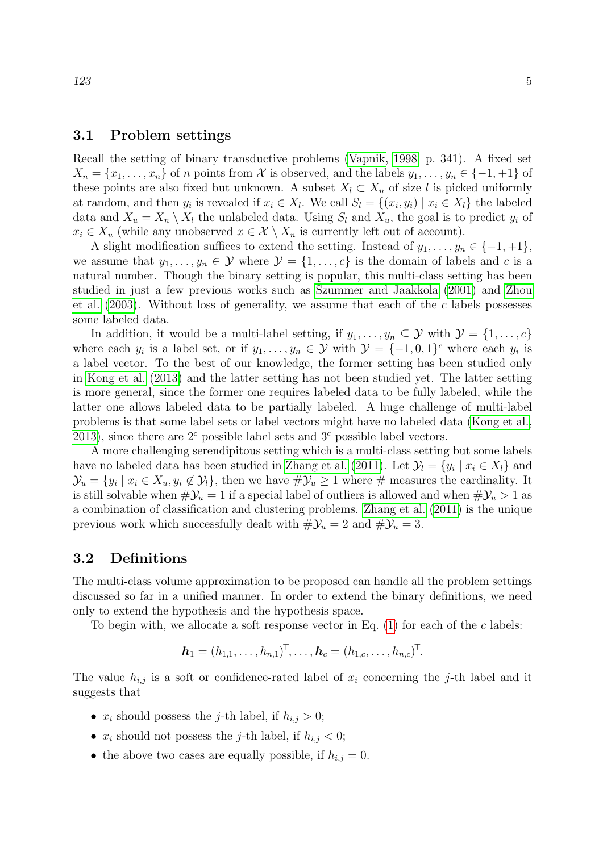#### 3.1 Problem settings

Recall the setting of binary transductive problems [\(Vapnik, 1998,](#page-21-4) p. 341). A fixed set  $X_n = \{x_1, \ldots, x_n\}$  of n points from X is observed, and the labels  $y_1, \ldots, y_n \in \{-1, +1\}$  of these points are also fixed but unknown. A subset  $X_l \subset X_n$  of size l is picked uniformly at random, and then  $y_i$  is revealed if  $x_i \in X_l$ . We call  $S_l = \{(x_i, y_i) \mid x_i \in X_l\}$  the labeled data and  $X_u = X_n \setminus X_l$  the unlabeled data. Using  $S_l$  and  $X_u$ , the goal is to predict  $y_i$  of  $x_i \in X_u$  (while any unobserved  $x \in \mathcal{X} \setminus X_n$  is currently left out of account).

A slight modification suffices to extend the setting. Instead of  $y_1, \ldots, y_n \in \{-1, +1\},\$ we assume that  $y_1, \ldots, y_n \in \mathcal{Y}$  where  $\mathcal{Y} = \{1, \ldots, c\}$  is the domain of labels and c is a natural number. Though the binary setting is popular, this multi-class setting has been studied in just a few previous works such as [Szummer and Jaakkola](#page-21-5) [\(2001\)](#page-21-5) and [Zhou](#page-21-2) [et al.](#page-21-2)  $(2003)$ . Without loss of generality, we assume that each of the c labels possesses some labeled data.

In addition, it would be a multi-label setting, if  $y_1, \ldots, y_n \subseteq \mathcal{Y}$  with  $\mathcal{Y} = \{1, \ldots, c\}$ where each  $y_i$  is a label set, or if  $y_1, \ldots, y_n \in \mathcal{Y}$  with  $\mathcal{Y} = \{-1, 0, 1\}^c$  where each  $y_i$  is a label vector. To the best of our knowledge, the former setting has been studied only in [Kong et al.](#page-20-2) [\(2013\)](#page-20-2) and the latter setting has not been studied yet. The latter setting is more general, since the former one requires labeled data to be fully labeled, while the latter one allows labeled data to be partially labeled. A huge challenge of multi-label problems is that some label sets or label vectors might have no labeled data [\(Kong et al.,](#page-20-2) [2013\)](#page-20-2), since there are  $2^c$  possible label sets and  $3^c$  possible label vectors.

A more challenging serendipitous setting which is a multi-class setting but some labels have no labeled data has been studied in [Zhang et al.](#page-21-3) [\(2011\)](#page-21-3). Let  $\mathcal{Y}_l = \{y_i \mid x_i \in X_l\}$  and  $\mathcal{Y}_u = \{y_i \mid x_i \in X_u, y_i \notin \mathcal{Y}_i\}$ , then we have  $\#\mathcal{Y}_u \geq 1$  where  $\#$  measures the cardinality. It is still solvable when  $\#\mathcal{Y}_u = 1$  if a special label of outliers is allowed and when  $\#\mathcal{Y}_u > 1$  as a combination of classification and clustering problems. [Zhang et al.](#page-21-3) [\(2011\)](#page-21-3) is the unique previous work which successfully dealt with  $\#\mathcal{Y}_u = 2$  and  $\#\mathcal{Y}_u = 3$ .

#### 3.2 Definitions

The multi-class volume approximation to be proposed can handle all the problem settings discussed so far in a unified manner. In order to extend the binary definitions, we need only to extend the hypothesis and the hypothesis space.

To begin with, we allocate a soft response vector in Eq.  $(1)$  for each of the c labels:

$$
\mathbf{h}_1 = (h_{1,1}, \ldots, h_{n,1})^{\top}, \ldots, \mathbf{h}_c = (h_{1,c}, \ldots, h_{n,c})^{\top}.
$$

The value  $h_{i,j}$  is a soft or confidence-rated label of  $x_i$  concerning the j-th label and it suggests that

- $x_i$  should possess the *j*-th label, if  $h_{i,j} > 0$ ;
- $x_i$  should not possess the *j*-th label, if  $h_{i,j} < 0$ ;
- the above two cases are equally possible, if  $h_{i,j} = 0$ .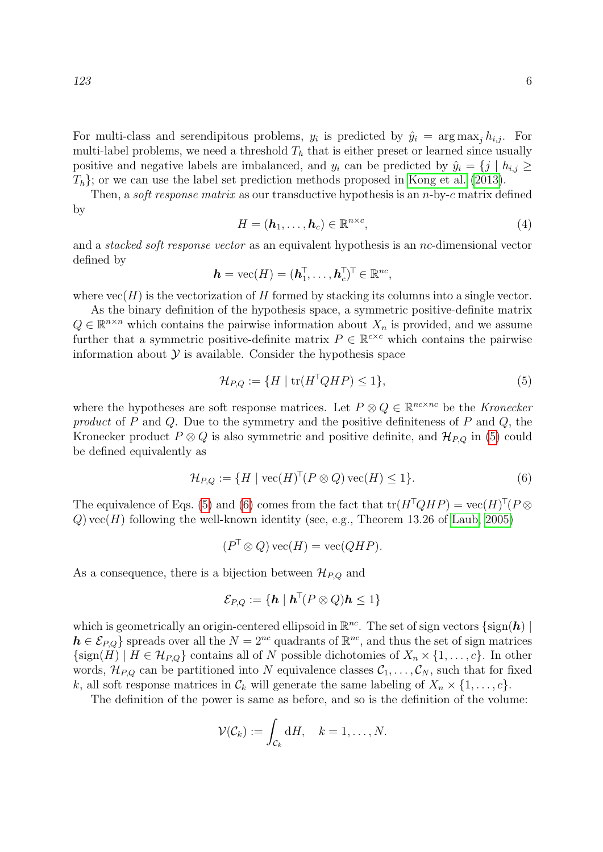For multi-class and serendipitous problems,  $y_i$  is predicted by  $\hat{y}_i = \arg \max_j h_{i,j}$ . For multi-label problems, we need a threshold  $T<sub>h</sub>$  that is either preset or learned since usually positive and negative labels are imbalanced, and  $y_i$  can be predicted by  $\hat{y}_i = \{j \mid h_{i,j} \geq 1\}$  $T_h$ ; or we can use the label set prediction methods proposed in [Kong et al.](#page-20-2) [\(2013\)](#page-20-2).

Then, a *soft response matrix* as our transductive hypothesis is an *n*-by-c matrix defined by

$$
H = (\mathbf{h}_1, \dots, \mathbf{h}_c) \in \mathbb{R}^{n \times c},\tag{4}
$$

and a stacked soft response vector as an equivalent hypothesis is an nc-dimensional vector defined by

$$
\mathbf{h} = \text{vec}(H) = (\mathbf{h}_1^{\top}, \dots, \mathbf{h}_c^{\top})^{\top} \in \mathbb{R}^{nc},
$$

where  $vec(H)$  is the vectorization of H formed by stacking its columns into a single vector.

As the binary definition of the hypothesis space, a symmetric positive-definite matrix  $Q \in \mathbb{R}^{n \times n}$  which contains the pairwise information about  $X_n$  is provided, and we assume further that a symmetric positive-definite matrix  $P \in \mathbb{R}^{c \times c}$  which contains the pairwise information about  $\mathcal Y$  is available. Consider the hypothesis space

<span id="page-5-0"></span>
$$
\mathcal{H}_{P,Q} := \{ H \mid \text{tr}(H^{\top}QHP) \le 1 \},\tag{5}
$$

where the hypotheses are soft response matrices. Let  $P \otimes Q \in \mathbb{R}^{nc \times nc}$  be the Kronecker product of P and Q. Due to the symmetry and the positive definiteness of P and Q, the Kronecker product  $P \otimes Q$  is also symmetric and positive definite, and  $\mathcal{H}_{P,Q}$  in [\(5\)](#page-5-0) could be defined equivalently as

<span id="page-5-1"></span>
$$
\mathcal{H}_{P,Q} := \{ H \mid \text{vec}(H)^{\top} (P \otimes Q) \,\text{vec}(H) \le 1 \}. \tag{6}
$$

The equivalence of Eqs. [\(5\)](#page-5-0) and [\(6\)](#page-5-1) comes from the fact that  $tr(H^{\top}QHP) = vec(H)^{\top}(P \otimes$  $Q$ ) vec(H) following the well-known identity (see, e.g., Theorem 13.26 of [Laub, 2005\)](#page-20-5)

$$
(P^{\top} \otimes Q) \operatorname{vec}(H) = \operatorname{vec}(QHP).
$$

As a consequence, there is a bijection between  $\mathcal{H}_{P,Q}$  and

$$
\mathcal{E}_{P,Q} := \{ \mathbf{h} \mid \mathbf{h}^\top (P \otimes Q) \mathbf{h} \leq 1 \}
$$

which is geometrically an origin-centered ellipsoid in  $\mathbb{R}^{nc}$ . The set of sign vectors  $\{\text{sign}(\boldsymbol{h})\mid$  $h \in \mathcal{E}_{P,Q}$  spreads over all the  $N = 2^{nc}$  quadrants of  $\mathbb{R}^{nc}$ , and thus the set of sign matrices  $\{\text{sign}(H) \mid H \in \mathcal{H}_{P,Q}\}$  contains all of N possible dichotomies of  $X_n \times \{1, \ldots, c\}$ . In other words,  $\mathcal{H}_{P,Q}$  can be partitioned into N equivalence classes  $\mathcal{C}_1, \ldots, \mathcal{C}_N$ , such that for fixed k, all soft response matrices in  $\mathcal{C}_k$  will generate the same labeling of  $X_n \times \{1, \ldots, c\}$ .

The definition of the power is same as before, and so is the definition of the volume:

$$
\mathcal{V}(\mathcal{C}_k) := \int_{\mathcal{C}_k} \mathrm{d}H, \quad k = 1, \dots, N.
$$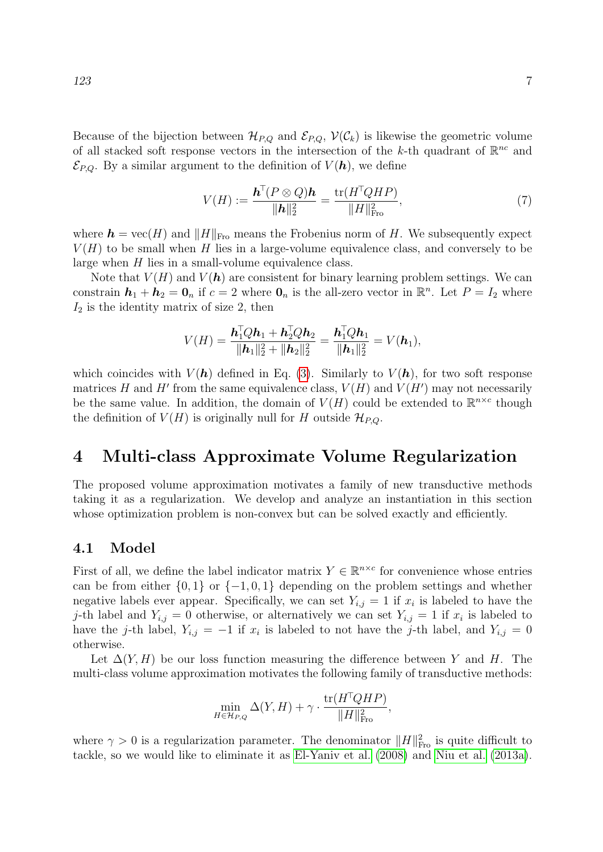Because of the bijection between  $\mathcal{H}_{P,Q}$  and  $\mathcal{E}_{P,Q}$ ,  $\mathcal{V}(\mathcal{C}_k)$  is likewise the geometric volume of all stacked soft response vectors in the intersection of the k-th quadrant of  $\mathbb{R}^{nc}$  and  $\mathcal{E}_{P,Q}$ . By a similar argument to the definition of  $V(h)$ , we define

$$
V(H) := \frac{\mathbf{h}^\top (P \otimes Q)\mathbf{h}}{\|\mathbf{h}\|_2^2} = \frac{\text{tr}(H^\top Q H P)}{\|H\|_{\text{Fro}}^2},\tag{7}
$$

where  $h = \text{vec}(H)$  and  $||H||_{\text{Fro}}$  means the Frobenius norm of H. We subsequently expect  $V(H)$  to be small when H lies in a large-volume equivalence class, and conversely to be large when H lies in a small-volume equivalence class.

Note that  $V(H)$  and  $V(h)$  are consistent for binary learning problem settings. We can constrain  $h_1 + h_2 = 0$ <sub>n</sub> if  $c = 2$  where  $0$ <sub>n</sub> is the all-zero vector in  $\mathbb{R}^n$ . Let  $P = I_2$  where  $I_2$  is the identity matrix of size 2, then

$$
V(H) = \frac{\mathbf{h}_1^{\mathsf{T}} Q \mathbf{h}_1 + \mathbf{h}_2^{\mathsf{T}} Q \mathbf{h}_2}{\|\mathbf{h}_1\|_2^2 + \|\mathbf{h}_2\|_2^2} = \frac{\mathbf{h}_1^{\mathsf{T}} Q \mathbf{h}_1}{\|\mathbf{h}_1\|_2^2} = V(\mathbf{h}_1),
$$

which coincides with  $V(h)$  defined in Eq. [\(3\)](#page-3-0). Similarly to  $V(h)$ , for two soft response matrices H and H' from the same equivalence class,  $V(H)$  and  $V(H')$  may not necessarily be the same value. In addition, the domain of  $V(H)$  could be extended to  $\mathbb{R}^{n \times c}$  though the definition of  $V(H)$  is originally null for H outside  $\mathcal{H}_{P,Q}$ .

## 4 Multi-class Approximate Volume Regularization

The proposed volume approximation motivates a family of new transductive methods taking it as a regularization. We develop and analyze an instantiation in this section whose optimization problem is non-convex but can be solved exactly and efficiently.

#### 4.1 Model

First of all, we define the label indicator matrix  $Y \in \mathbb{R}^{n \times c}$  for convenience whose entries can be from either  $\{0, 1\}$  or  $\{-1, 0, 1\}$  depending on the problem settings and whether negative labels ever appear. Specifically, we can set  $Y_{i,j} = 1$  if  $x_i$  is labeled to have the j-th label and  $Y_{i,j} = 0$  otherwise, or alternatively we can set  $Y_{i,j} = 1$  if  $x_i$  is labeled to have the j-th label,  $Y_{i,j} = -1$  if  $x_i$  is labeled to not have the j-th label, and  $Y_{i,j} = 0$ otherwise.

Let  $\Delta(Y, H)$  be our loss function measuring the difference between Y and H. The multi-class volume approximation motivates the following family of transductive methods:

$$
\min_{H \in \mathcal{H}_{P,Q}} \Delta(Y, H) + \gamma \cdot \frac{\text{tr}(H^{\top}QHP)}{\|H\|_{\text{Fro}}^2},
$$

where  $\gamma > 0$  is a regularization parameter. The denominator  $||H||_{\text{Fro}}^2$  is quite difficult to tackle, so we would like to eliminate it as [El-Yaniv et al.](#page-20-0) [\(2008\)](#page-20-0) and [Niu et al.](#page-21-1) [\(2013a\)](#page-21-1).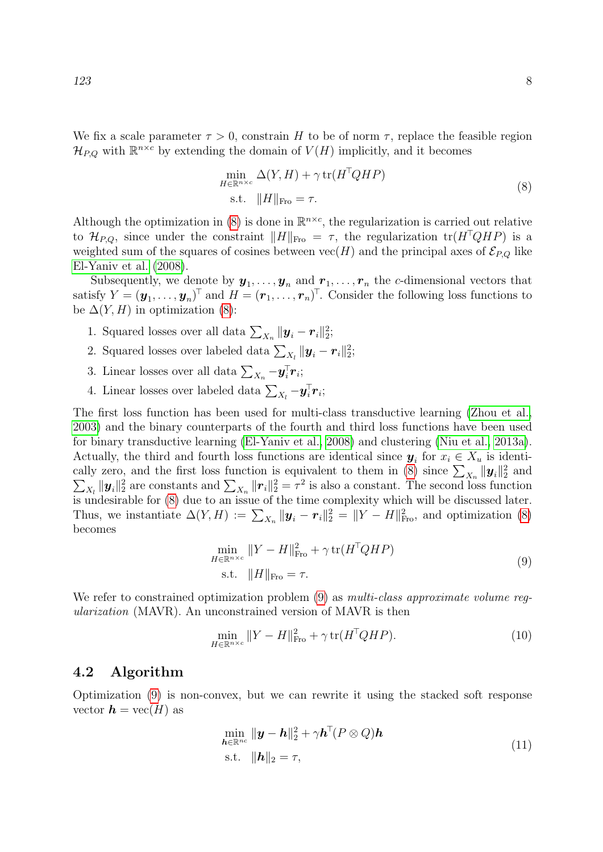We fix a scale parameter  $\tau > 0$ , constrain H to be of norm  $\tau$ , replace the feasible region  $\mathcal{H}_{P,Q}$  with  $\mathbb{R}^{n \times c}$  by extending the domain of  $V(H)$  implicitly, and it becomes

$$
\min_{H \in \mathbb{R}^{n \times c}} \Delta(Y, H) + \gamma \operatorname{tr}(H^{\top}QHP)
$$
\n
$$
\text{s.t. } \|H\|_{\text{Fro}} = \tau.
$$
\n
$$
(8)
$$

<span id="page-7-0"></span>Although the optimization in [\(8\)](#page-7-0) is done in  $\mathbb{R}^{n \times c}$ , the regularization is carried out relative to  $\mathcal{H}_{P,Q}$ , since under the constraint  $||H||_{\text{Fro}} = \tau$ , the regularization tr $(H^{\top}QHP)$  is a weighted sum of the squares of cosines between  $\text{vec}(H)$  and the principal axes of  $\mathcal{E}_{P,Q}$  like [El-Yaniv et al.](#page-20-0) [\(2008\)](#page-20-0).

Subsequently, we denote by  $y_1, \ldots, y_n$  and  $r_1, \ldots, r_n$  the c-dimensional vectors that satisfy  $Y = (\boldsymbol{y}_1, \dots, \boldsymbol{y}_n)^\top$  and  $H = (\boldsymbol{r}_1, \dots, \boldsymbol{r}_n)^\top$ . Consider the following loss functions to be  $\Delta(Y, H)$  in optimization [\(8\)](#page-7-0):

- 1. Squared losses over all data  $\sum_{X_n} ||\mathbf{y}_i \mathbf{r}_i||_2^2$ ;
- 2. Squared losses over labeled data  $\sum_{X_l} ||\boldsymbol{y}_i \boldsymbol{r}_i||_2^2$ ;
- 3. Linear losses over all data  $\sum_{X_n} -\hat{\mathbf{y}}_i^{\top} \mathbf{r}_i$ ;
- 4. Linear losses over labeled data  $\sum_{X_l} -\bm{y}_i^{\top} \bm{r}_i$ ;

The first loss function has been used for multi-class transductive learning [\(Zhou et al.,](#page-21-2) [2003\)](#page-21-2) and the binary counterparts of the fourth and third loss functions have been used for binary transductive learning [\(El-Yaniv et al., 2008\)](#page-20-0) and clustering [\(Niu et al., 2013a\)](#page-21-1). Actually, the third and fourth loss functions are identical since  $y_i$  for  $x_i \in X_u$  is identi-cally zero, and the first loss function is equivalent to them in [\(8\)](#page-7-0) since  $\sum_{X_n} ||\mathbf{y}_i||_2^2$  $\sum$ and  $X_k ||\bm{y}_i||_2^2$  are constants and  $\sum_{X_n} ||\bm{r}_i||_2^2 = \tau^2$  is also a constant. The second loss function is undesirable for [\(8\)](#page-7-0) due to an issue of the time complexity which will be discussed later. Thus, we instantiate  $\Delta(Y, H) := \sum_{X_n} ||\mathbf{y}_i - \mathbf{r}_i||_2^2 = ||Y - H||_{\text{Fro}}^2$ , and optimization [\(8\)](#page-7-0) becomes

$$
\min_{H \in \mathbb{R}^{n \times c}} \|Y - H\|_{\text{Fro}}^2 + \gamma \operatorname{tr}(H^{\top}QHP)
$$
\n
$$
\text{s.t. } \|H\|_{\text{Fro}} = \tau.
$$
\n(9)

<span id="page-7-1"></span>We refer to constrained optimization problem [\(9\)](#page-7-1) as *multi-class approximate volume reg*ularization (MAVR). An unconstrained version of MAVR is then

<span id="page-7-3"></span>
$$
\min_{H \in \mathbb{R}^{n \times c}} \|Y - H\|_{\text{Fro}}^2 + \gamma \operatorname{tr}(H^{\top}QHP). \tag{10}
$$

#### 4.2 Algorithm

<span id="page-7-2"></span>Optimization [\(9\)](#page-7-1) is non-convex, but we can rewrite it using the stacked soft response vector  $h = \text{vec}(H)$  as

$$
\min_{\mathbf{h}\in\mathbb{R}^{nc}} \|\mathbf{y}-\mathbf{h}\|_{2}^{2} + \gamma \mathbf{h}^{\top} (P\otimes Q)\mathbf{h}
$$
\n
$$
\text{s.t.} \quad \|\mathbf{h}\|_{2} = \tau,
$$
\n
$$
(11)
$$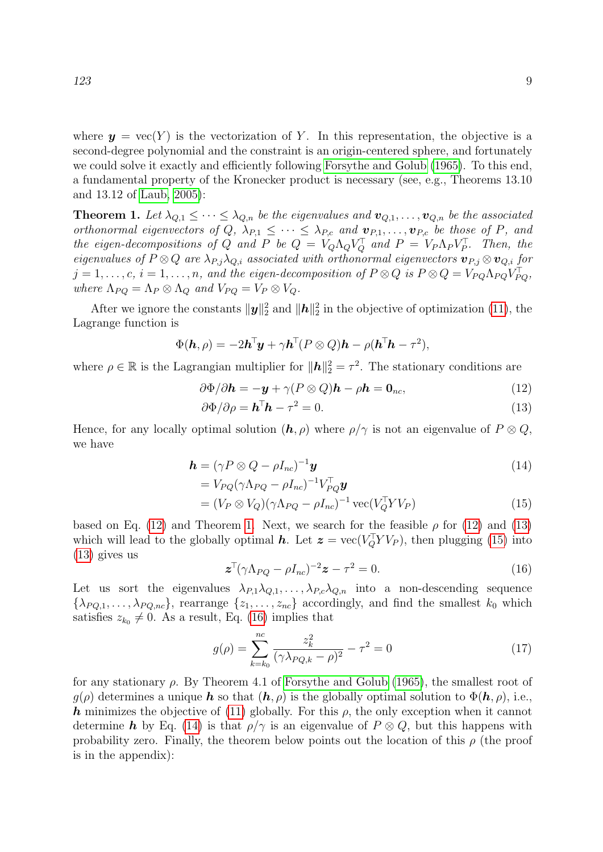where  $y = \text{vec}(Y)$  is the vectorization of Y. In this representation, the objective is a second-degree polynomial and the constraint is an origin-centered sphere, and fortunately we could solve it exactly and efficiently following [Forsythe and Golub](#page-20-3) [\(1965\)](#page-20-3). To this end, a fundamental property of the Kronecker product is necessary (see, e.g., Theorems 13.10 and 13.12 of [Laub, 2005\)](#page-20-5):

<span id="page-8-1"></span>**Theorem 1.** Let  $\lambda_{Q,1} \leq \cdots \leq \lambda_{Q,n}$  be the eigenvalues and  $\mathbf{v}_{Q,1}, \ldots, \mathbf{v}_{Q,n}$  be the associated orthonormal eigenvectors of  $Q$ ,  $\lambda_{P,1} \leq \cdots \leq \lambda_{P,c}$  and  $\mathbf{v}_{P,1}, \ldots, \mathbf{v}_{P,c}$  be those of P, and the eigen-decompositions of Q and P be  $Q = V_Q \Lambda_Q V_Q^{\top}$  and  $P = V_P \Lambda_P V_P^{\top}$ . Then, the eigenvalues of  $P \otimes Q$  are  $\lambda_{P,j} \lambda_{Q,i}$  associated with orthonormal eigenvectors  $\mathbf{v}_{P,j} \otimes \mathbf{v}_{Q,i}$  for  $j = 1, \ldots, c, i = 1, \ldots, n$ , and the eigen-decomposition of  $P \otimes Q$  is  $P \otimes Q = V_{PQ} \Lambda_{PQ} V_{PQ}^{\top}$ , where  $\Lambda_{PQ} = \Lambda_P \otimes \Lambda_Q$  and  $V_{PQ} = V_P \otimes V_Q$ .

After we ignore the constants  $\|\mathbf{y}\|_2^2$  and  $\|\mathbf{h}\|_2^2$  in the objective of optimization [\(11\)](#page-7-2), the Lagrange function is

$$
\Phi(\mathbf{h}, \rho) = -2\mathbf{h}^{\mathsf{T}}\mathbf{y} + \gamma \mathbf{h}^{\mathsf{T}}(P \otimes Q)\mathbf{h} - \rho(\mathbf{h}^{\mathsf{T}}\mathbf{h} - \tau^2),
$$

where  $\rho \in \mathbb{R}$  is the Lagrangian multiplier for  $\|\boldsymbol{h}\|_2^2 = \tau^2$ . The stationary conditions are

$$
\partial \Phi / \partial \mathbf{h} = -\mathbf{y} + \gamma (P \otimes Q) \mathbf{h} - \rho \mathbf{h} = \mathbf{0}_{nc}, \qquad (12)
$$

<span id="page-8-2"></span><span id="page-8-0"></span>
$$
\partial \Phi / \partial \rho = \mathbf{h}^{\mathsf{T}} \mathbf{h} - \tau^2 = 0. \tag{13}
$$

Hence, for any locally optimal solution  $(h, \rho)$  where  $\rho/\gamma$  is not an eigenvalue of  $P \otimes Q$ , we have

$$
\boldsymbol{h} = (\gamma P \otimes Q - \rho I_{nc})^{-1} \boldsymbol{y} \tag{14}
$$

$$
= V_{PQ}(\gamma \Lambda_{PQ} - \rho I_{nc})^{-1} V_{PQ}^{\top} \mathbf{y}
$$
  
=  $(V_P \otimes V_Q)(\gamma \Lambda_{PQ} - \rho I_{nc})^{-1} \text{vec}(V_Q^{\top} Y V_P)$  (15)

based on Eq. [\(12\)](#page-8-0) and Theorem [1.](#page-8-1) Next, we search for the feasible  $\rho$  for (12) and [\(13\)](#page-8-2) which will lead to the globally optimal h. Let  $\boldsymbol{z} = \text{vec}(V_Q^{\top} Y V_P)$ , then plugging [\(15\)](#page-8-3) into [\(13\)](#page-8-2) gives us

<span id="page-8-5"></span><span id="page-8-4"></span><span id="page-8-3"></span>
$$
\boldsymbol{z}^{\top}(\gamma \Lambda_{PQ} - \rho I_{nc})^{-2} \boldsymbol{z} - \tau^2 = 0. \tag{16}
$$

Let us sort the eigenvalues  $\lambda_{P,1}\lambda_{Q,1},\ldots,\lambda_{P,c}\lambda_{Q,n}$  into a non-descending sequence  $\{\lambda_{PQ,1},\ldots,\lambda_{PQ,nc}\}\$ , rearrange  $\{z_1,\ldots,z_{nc}\}\$  accordingly, and find the smallest  $k_0$  which satisfies  $z_{k_0} \neq 0$ . As a result, Eq. [\(16\)](#page-8-4) implies that

<span id="page-8-6"></span>
$$
g(\rho) = \sum_{k=k_0}^{nc} \frac{z_k^2}{(\gamma \lambda_{PQ,k} - \rho)^2} - \tau^2 = 0
$$
 (17)

for any stationary  $\rho$ . By Theorem 4.1 of [Forsythe and Golub](#page-20-3) [\(1965\)](#page-20-3), the smallest root of  $q(\rho)$  determines a unique h so that  $(h, \rho)$  is the globally optimal solution to  $\Phi(h, \rho)$ , i.e., h minimizes the objective of [\(11\)](#page-7-2) globally. For this  $\rho$ , the only exception when it cannot determine **h** by Eq. [\(14\)](#page-8-5) is that  $\rho/\gamma$  is an eigenvalue of  $P \otimes Q$ , but this happens with probability zero. Finally, the theorem below points out the location of this  $\rho$  (the proof is in the appendix):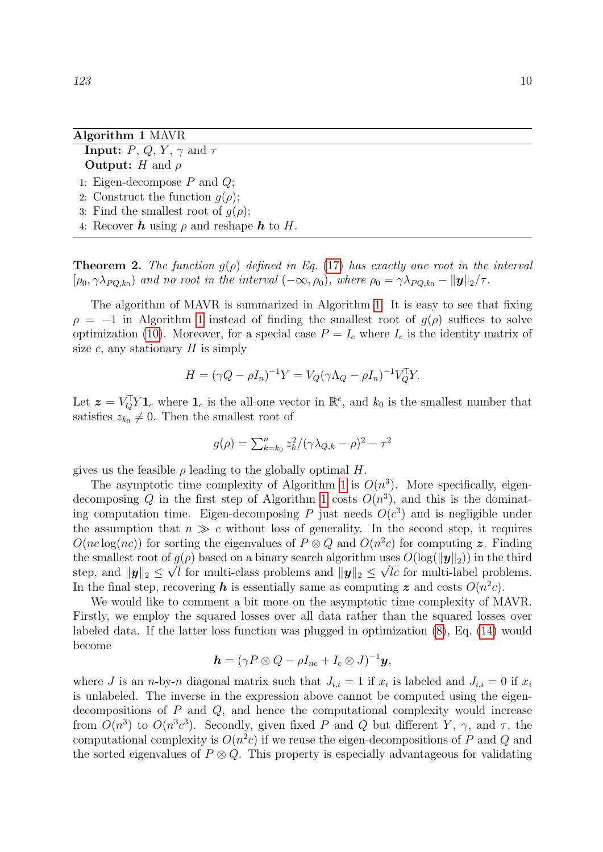#### <span id="page-9-0"></span>Algorithm 1 MAVR

- **Input:**  $P, Q, Y, \gamma$  and  $\tau$ **Output:** H and  $\rho$
- 1: Eigen-decompose  $P$  and  $Q$ ;
- 2: Construct the function  $q(\rho)$ ;
- 3: Find the smallest root of  $g(\rho)$ ;
- 4: Recover **h** using  $\rho$  and reshape **h** to H.

<span id="page-9-1"></span>**Theorem 2.** The function  $g(\rho)$  defined in Eq. [\(17\)](#page-8-6) has exactly one root in the interval  $[\rho_0, \gamma \lambda_{PQ,k_0})$  and no root in the interval  $(-\infty, \rho_0)$ , where  $\rho_0 = \gamma \lambda_{PQ,k_0} - ||\mathbf{y}||_2/\tau$ .

The algorithm of MAVR is summarized in Algorithm [1.](#page-9-0) It is easy to see that fixing  $\rho = -1$  in Algorithm [1](#page-9-0) instead of finding the smallest root of  $g(\rho)$  suffices to solve optimization [\(10\)](#page-7-3). Moreover, for a special case  $P = I_c$  where  $I_c$  is the identity matrix of size c, any stationary  $H$  is simply

$$
H = (\gamma Q - \rho I_n)^{-1} Y = V_Q (\gamma \Lambda_Q - \rho I_n)^{-1} V_Q^{\top} Y.
$$

Let  $\boldsymbol{z} = V_Q^{\top} Y \mathbf{1}_c$  where  $\mathbf{1}_c$  is the all-one vector in  $\mathbb{R}^c$ , and  $k_0$  is the smallest number that satisfies  $z_{k_0} \neq 0$ . Then the smallest root of

$$
g(\rho)=\sum_{k=k_0}^nz_k^2/(\gamma\lambda_{Q,k}-\rho)^2-\tau^2
$$

gives us the feasible  $\rho$  leading to the globally optimal H.

The asymptotic time complexity of Algorithm [1](#page-9-0) is  $O(n^3)$ . More specifically, eigen-decomposing Q in the first step of Algorithm [1](#page-9-0) costs  $O(n^3)$ , and this is the dominating computation time. Eigen-decomposing P just needs  $O(c^3)$  and is negligible under the assumption that  $n \gg c$  without loss of generality. In the second step, it requires  $O(n c \log(n c))$  for sorting the eigenvalues of  $P \otimes Q$  and  $O(n^2 c)$  for computing z. Finding the smallest root of  $g(\rho)$  based on a binary search algorithm uses  $O(\log(\|\mathbf{y}\|_2))$  in the third step, and  $||y||_2 \le \sqrt{l}$  for multi-class problems and  $||y||_2 \le \sqrt{l}c$  for multi-label problems. In the final step, recovering h is essentially same as computing z and costs  $O(n^2c)$ .

We would like to comment a bit more on the asymptotic time complexity of MAVR. Firstly, we employ the squared losses over all data rather than the squared losses over labeled data. If the latter loss function was plugged in optimization [\(8\)](#page-7-0), Eq. [\(14\)](#page-8-5) would become

$$
\boldsymbol{h}=(\gamma P\otimes Q-\rho I_{nc}+I_c\otimes J)^{-1}\boldsymbol{y},
$$

where J is an *n*-by-*n* diagonal matrix such that  $J_{i,i} = 1$  if  $x_i$  is labeled and  $J_{i,i} = 0$  if  $x_i$ is unlabeled. The inverse in the expression above cannot be computed using the eigendecompositions of  $P$  and  $Q$ , and hence the computational complexity would increase from  $O(n^3)$  to  $O(n^3c^3)$ . Secondly, given fixed P and Q but different Y,  $\gamma$ , and  $\tau$ , the computational complexity is  $O(n^2c)$  if we reuse the eigen-decompositions of P and Q and the sorted eigenvalues of  $P \otimes Q$ . This property is especially advantageous for validating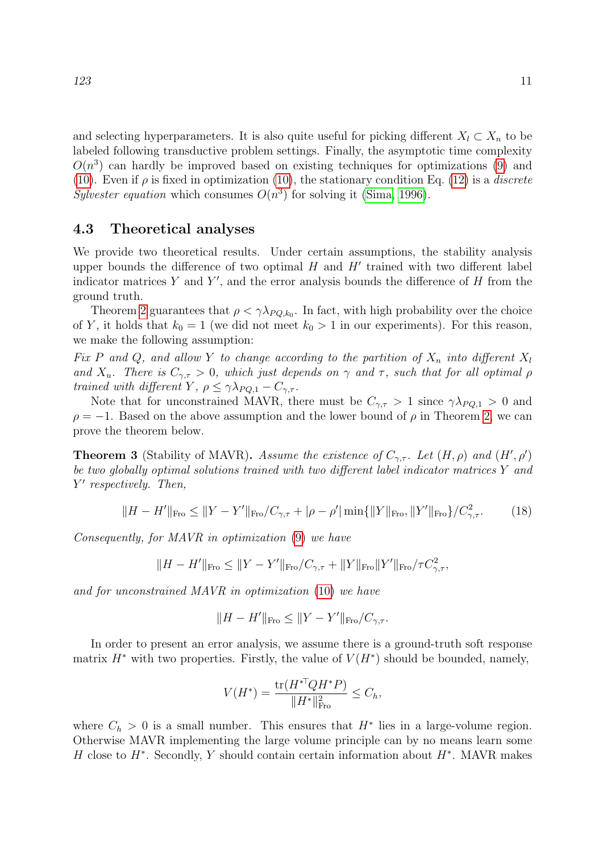and selecting hyperparameters. It is also quite useful for picking different  $X_l \subset X_n$  to be labeled following transductive problem settings. Finally, the asymptotic time complexity  $O(n^3)$  can hardly be improved based on existing techniques for optimizations [\(9\)](#page-7-1) and [\(10\)](#page-7-3). Even if  $\rho$  is fixed in optimization (10), the stationary condition Eq. [\(12\)](#page-8-0) is a *discrete* Sylvester equation which consumes  $O(n^3)$  for solving it [\(Sima, 1996\)](#page-21-6).

#### 4.3 Theoretical analyses

We provide two theoretical results. Under certain assumptions, the stability analysis upper bounds the difference of two optimal  $H$  and  $H'$  trained with two different label indicator matrices  $Y$  and  $Y'$ , and the error analysis bounds the difference of  $H$  from the ground truth.

Theorem [2](#page-9-1) guarantees that  $\rho < \gamma \lambda_{PQ,k_0}$ . In fact, with high probability over the choice of Y, it holds that  $k_0 = 1$  (we did not meet  $k_0 > 1$  in our experiments). For this reason, we make the following assumption:

Fix P and Q, and allow Y to change according to the partition of  $X_n$  into different  $X_l$ and  $X_u$ . There is  $C_{\gamma,\tau} > 0$ , which just depends on  $\gamma$  and  $\tau$ , such that for all optimal  $\rho$ trained with different Y,  $\rho \leq \gamma \lambda_{PQ,1} - C_{\gamma,\tau}$ .

Note that for unconstrained MAVR, there must be  $C_{\gamma,\tau} > 1$  since  $\gamma \lambda_{PQ,1} > 0$  and  $\rho = -1$ . Based on the above assumption and the lower bound of  $\rho$  in Theorem [2,](#page-9-1) we can prove the theorem below.

<span id="page-10-0"></span>**Theorem 3** (Stability of MAVR). Assume the existence of  $C_{\gamma,\tau}$ . Let  $(H, \rho)$  and  $(H', \rho')$ be two globally optimal solutions trained with two different label indicator matrices Y and Y' respectively. Then,

<span id="page-10-1"></span>
$$
||H - H'||_{\text{Fro}} \le ||Y - Y'||_{\text{Fro}}/C_{\gamma,\tau} + |\rho - \rho'| \min\{||Y||_{\text{Fro}}, ||Y'||_{\text{Fro}}\}/C_{\gamma,\tau}^2. \tag{18}
$$

Consequently, for MAVR in optimization [\(9\)](#page-7-1) we have

$$
||H - H'||_{\text{Fro}} \le ||Y - Y'||_{\text{Fro}} / C_{\gamma, \tau} + ||Y||_{\text{Fro}} ||Y'||_{\text{Fro}} / \tau C_{\gamma, \tau}^2,
$$

and for unconstrained MAVR in optimization [\(10\)](#page-7-3) we have

$$
||H - H'||_{\text{Fro}} \le ||Y - Y'||_{\text{Fro}}/C_{\gamma, \tau}.
$$

In order to present an error analysis, we assume there is a ground-truth soft response matrix  $H^*$  with two properties. Firstly, the value of  $V(H^*)$  should be bounded, namely,

$$
V(H^*) = \frac{\text{tr}(H^{*\top}QH^*P)}{\|H^*\|_{\text{Fro}}^2} \leq C_h,
$$

where  $C_h > 0$  is a small number. This ensures that  $H^*$  lies in a large-volume region. Otherwise MAVR implementing the large volume principle can by no means learn some H close to  $H^*$ . Secondly, Y should contain certain information about  $H^*$ . MAVR makes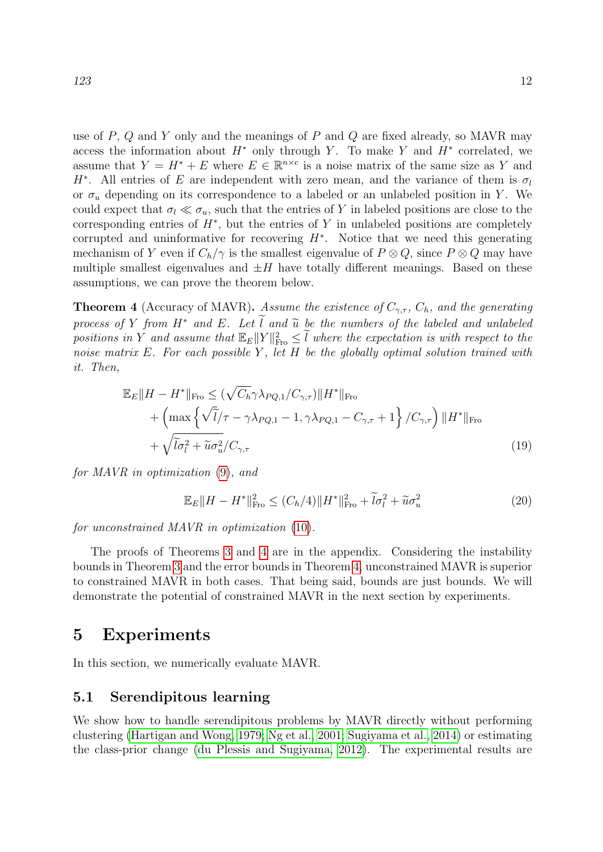use of  $P$ ,  $Q$  and  $Y$  only and the meanings of  $P$  and  $Q$  are fixed already, so MAVR may access the information about  $H^*$  only through Y. To make Y and  $H^*$  correlated, we assume that  $Y = H^* + E$  where  $E \in \mathbb{R}^{n \times c}$  is a noise matrix of the same size as Y and H<sup>\*</sup>. All entries of E are independent with zero mean, and the variance of them is  $\sigma_l$ or  $\sigma_u$  depending on its correspondence to a labeled or an unlabeled position in Y. We could expect that  $\sigma_l \ll \sigma_u$ , such that the entries of Y in labeled positions are close to the corresponding entries of  $H^*$ , but the entries of Y in unlabeled positions are completely corrupted and uninformative for recovering  $H^*$ . Notice that we need this generating mechanism of Y even if  $C_h/\gamma$  is the smallest eigenvalue of  $P \otimes Q$ , since  $P \otimes Q$  may have multiple smallest eigenvalues and  $\pm H$  have totally different meanings. Based on these assumptions, we can prove the theorem below.

<span id="page-11-0"></span>**Theorem 4** (Accuracy of MAVR). Assume the existence of  $C_{\gamma,\tau}$ ,  $C_h$ , and the generating process of Y from  $H^*$  and E. Let l and  $\tilde{u}$  be the numbers of the labeled and unlabeled positions in Y and assume that  $\mathbb{E}_E ||Y||_{\text{Fro}}^2 \leq \tilde{l}$  where the expectation is with respect to the noise matrix  $E$ . For each possible Y, let H be the globally optimal solution trained with it. Then,

$$
\mathbb{E}_{E} \|H - H^*\|_{\text{Fro}} \leq (\sqrt{C_h} \gamma \lambda_{PQ,1} / C_{\gamma,\tau}) \|H^*\|_{\text{Fro}} + \left( \max \left\{ \sqrt{\tilde{l}} / \tau - \gamma \lambda_{PQ,1} - 1, \gamma \lambda_{PQ,1} - C_{\gamma,\tau} + 1 \right\} / C_{\gamma,\tau} \right) \|H^*\|_{\text{Fro}} + \sqrt{\tilde{l}\sigma_l^2 + \tilde{u}\sigma_u^2} / C_{\gamma,\tau}
$$
\n(19)

for MAVR in optimization [\(9\)](#page-7-1), and

<span id="page-11-2"></span><span id="page-11-1"></span>
$$
\mathbb{E}_E||H - H^*||_{\text{Fro}}^2 \le (C_h/4)||H^*||_{\text{Fro}}^2 + \widetilde{I}\sigma_l^2 + \widetilde{u}\sigma_u^2 \tag{20}
$$

for unconstrained MAVR in optimization [\(10\)](#page-7-3).

The proofs of Theorems [3](#page-10-0) and [4](#page-11-0) are in the appendix. Considering the instability bounds in Theorem [3](#page-10-0) and the error bounds in Theorem [4,](#page-11-0) unconstrained MAVR is superior to constrained MAVR in both cases. That being said, bounds are just bounds. We will demonstrate the potential of constrained MAVR in the next section by experiments.

### 5 Experiments

In this section, we numerically evaluate MAVR.

### 5.1 Serendipitous learning

We show how to handle serendipitous problems by MAVR directly without performing clustering [\(Hartigan and Wong, 1979;](#page-20-6) [Ng et al., 2001;](#page-21-7) [Sugiyama et al., 2014\)](#page-21-8) or estimating the class-prior change [\(du Plessis and Sugiyama, 2012\)](#page-20-7). The experimental results are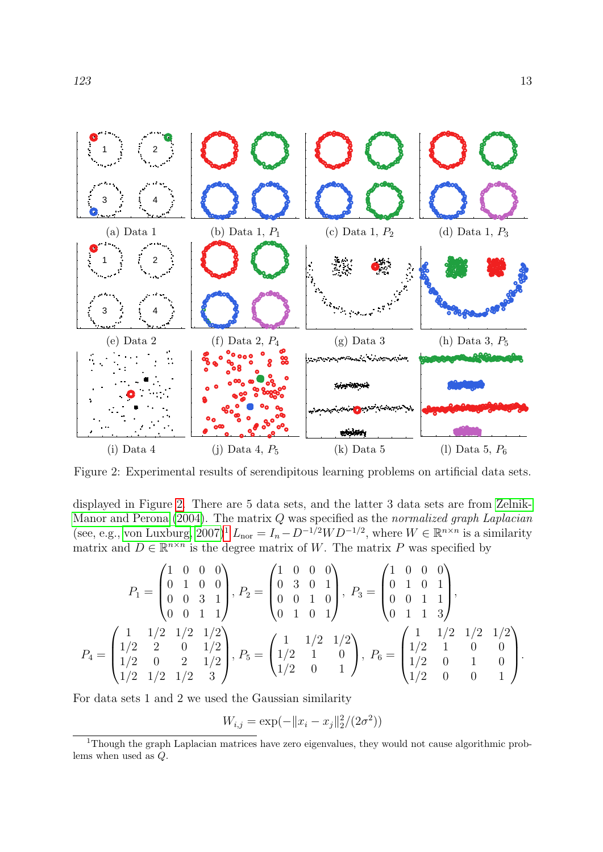

<span id="page-12-0"></span>Figure 2: Experimental results of serendipitous learning problems on artificial data sets.

displayed in Figure [2.](#page-12-0) There are 5 data sets, and the latter 3 data sets are from [Zelnik-](#page-21-9)[Manor and Perona](#page-21-9)  $(2004)$ . The matrix Q was specified as the normalized graph Laplacian (see, e.g., [von Luxburg, 2007\)](#page-21-10)<sup>[1](#page-12-1)</sup>  $L_{\text{nor}} = I_n - D^{-1/2}WD^{-1/2}$ , where  $W \in \mathbb{R}^{n \times n}$  is a similarity matrix and  $D \in \mathbb{R}^{n \times n}$  is the degree matrix of W. The matrix P was specified by

$$
P_1 = \begin{pmatrix} 1 & 0 & 0 & 0 \\ 0 & 1 & 0 & 0 \\ 0 & 0 & 3 & 1 \\ 0 & 0 & 1 & 1 \end{pmatrix}, P_2 = \begin{pmatrix} 1 & 0 & 0 & 0 \\ 0 & 3 & 0 & 1 \\ 0 & 0 & 1 & 0 \\ 0 & 1 & 0 & 1 \end{pmatrix}, P_3 = \begin{pmatrix} 1 & 0 & 0 & 0 \\ 0 & 1 & 0 & 1 \\ 0 & 0 & 1 & 1 \\ 0 & 1 & 1 & 3 \end{pmatrix},
$$
  
\n
$$
P_4 = \begin{pmatrix} 1 & 1/2 & 1/2 & 1/2 \\ 1/2 & 2 & 0 & 1/2 \\ 1/2 & 0 & 2 & 1/2 \\ 1/2 & 1/2 & 3 \end{pmatrix}, P_5 = \begin{pmatrix} 1 & 1/2 & 1/2 \\ 1/2 & 1 & 0 \\ 1/2 & 0 & 1 \end{pmatrix}, P_6 = \begin{pmatrix} 1 & 1/2 & 1/2 & 1/2 \\ 1/2 & 1 & 0 & 0 \\ 1/2 & 0 & 1 & 0 \\ 1/2 & 0 & 0 & 1 \end{pmatrix}.
$$

For data sets 1 and 2 we used the Gaussian similarity

$$
W_{i,j} = \exp(-||x_i - x_j||_2^2/(2\sigma^2))
$$

<span id="page-12-1"></span><sup>1</sup>Though the graph Laplacian matrices have zero eigenvalues, they would not cause algorithmic problems when used as Q.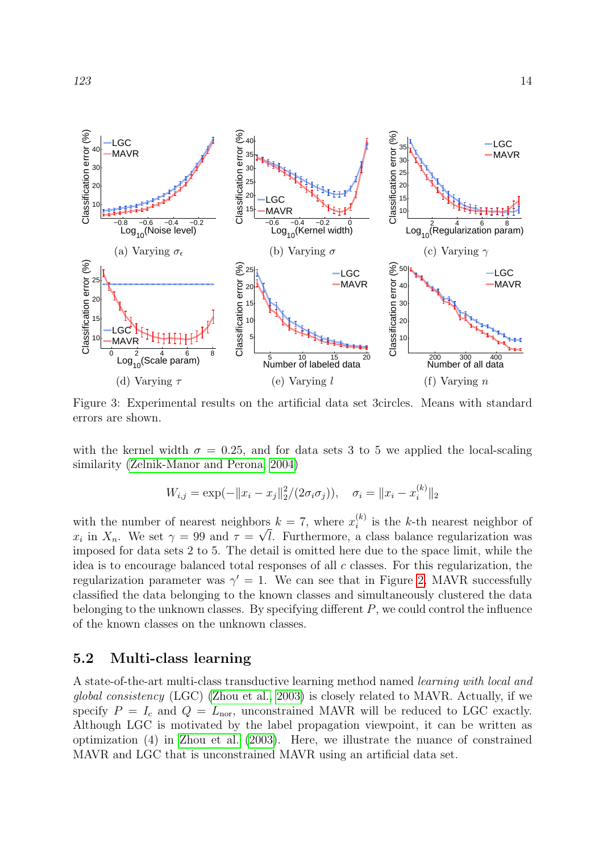

<span id="page-13-0"></span>Figure 3: Experimental results on the artificial data set 3circles. Means with standard errors are shown.

with the kernel width  $\sigma = 0.25$ , and for data sets 3 to 5 we applied the local-scaling similarity [\(Zelnik-Manor and Perona, 2004\)](#page-21-9)

$$
W_{i,j} = \exp(-\|x_i - x_j\|_2^2/(2\sigma_i \sigma_j)), \quad \sigma_i = \|x_i - x_i^{(k)}\|_2
$$

with the number of nearest neighbors  $k = 7$ , where  $x_i^{(k)}$  $i^{(k)}$  is the k-th nearest neighbor of when the namber of heater heighbors  $\kappa$  is where  $x_i$  is the  $\kappa$  of heaters heighbor of  $x_i$  in  $X_n$ . We set  $\gamma = 99$  and  $\tau = \sqrt{l}$ . Furthermore, a class balance regularization was imposed for data sets 2 to 5. The detail is omitted here due to the space limit, while the idea is to encourage balanced total responses of all c classes. For this regularization, the regularization parameter was  $\gamma' = 1$ . We can see that in Figure [2,](#page-12-0) MAVR successfully classified the data belonging to the known classes and simultaneously clustered the data belonging to the unknown classes. By specifying different  $P$ , we could control the influence of the known classes on the unknown classes.

### 5.2 Multi-class learning

A state-of-the-art multi-class transductive learning method named learning with local and global consistency (LGC) [\(Zhou et al., 2003\)](#page-21-2) is closely related to MAVR. Actually, if we specify  $P = I_c$  and  $Q = L_{\text{nor}}$ , unconstrained MAVR will be reduced to LGC exactly. Although LGC is motivated by the label propagation viewpoint, it can be written as optimization (4) in [Zhou et al.](#page-21-2) [\(2003\)](#page-21-2). Here, we illustrate the nuance of constrained MAVR and LGC that is unconstrained MAVR using an artificial data set.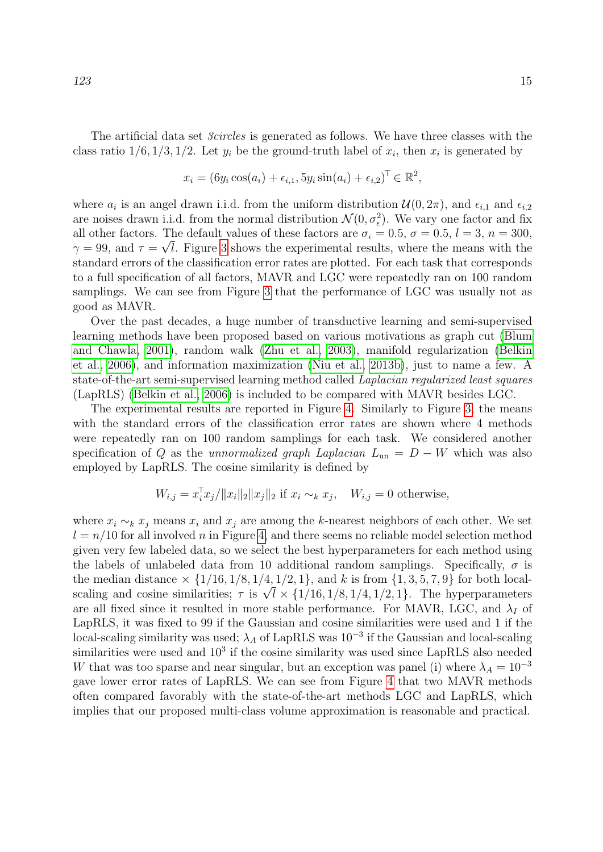$$
x_i = (6y_i \cos(a_i) + \epsilon_{i,1}, 5y_i \sin(a_i) + \epsilon_{i,2})^\top \in \mathbb{R}^2,
$$

where  $a_i$  is an angel drawn i.i.d. from the uniform distribution  $\mathcal{U}(0, 2\pi)$ , and  $\epsilon_{i,1}$  and  $\epsilon_{i,2}$ are noises drawn i.i.d. from the normal distribution  $\mathcal{N}(0, \sigma_{\epsilon}^2)$ . We vary one factor and fix all other factors. The default values of these factors are  $\sigma_{\epsilon} = 0.5$ ,  $\sigma = 0.5$ ,  $l = 3$ ,  $n = 300$ ,  $\gamma = 99$ , and  $\tau = \sqrt{l}$ . Figure [3](#page-13-0) shows the experimental results, where the means with the standard errors of the classification error rates are plotted. For each task that corresponds to a full specification of all factors, MAVR and LGC were repeatedly ran on 100 random samplings. We can see from Figure [3](#page-13-0) that the performance of LGC was usually not as good as MAVR.

Over the past decades, a huge number of transductive learning and semi-supervised learning methods have been proposed based on various motivations as graph cut [\(Blum](#page-20-8) [and Chawla, 2001\)](#page-20-8), random walk [\(Zhu et al., 2003\)](#page-21-11), manifold regularization [\(Belkin](#page-20-4) [et al., 2006\)](#page-20-4), and information maximization [\(Niu et al., 2013b\)](#page-21-12), just to name a few. A state-of-the-art semi-supervised learning method called Laplacian regularized least squares (LapRLS) [\(Belkin et al., 2006\)](#page-20-4) is included to be compared with MAVR besides LGC.

The experimental results are reported in Figure [4.](#page-15-0) Similarly to Figure [3,](#page-13-0) the means with the standard errors of the classification error rates are shown where 4 methods were repeatedly ran on 100 random samplings for each task. We considered another specification of Q as the unnormalized graph Laplacian  $L_{\text{un}} = D - W$  which was also employed by LapRLS. The cosine similarity is defined by

$$
W_{i,j} = x_i^{\top} x_j / \|x_i\|_2 \|x_j\|_2 \text{ if } x_i \sim_k x_j, \quad W_{i,j} = 0 \text{ otherwise,}
$$

where  $x_i \sim_k x_j$  means  $x_i$  and  $x_j$  are among the k-nearest neighbors of each other. We set  $l = n/10$  for all involved n in Figure [4,](#page-15-0) and there seems no reliable model selection method given very few labeled data, so we select the best hyperparameters for each method using the labels of unlabeled data from 10 additional random samplings. Specifically,  $\sigma$  is the median distance  $\times \{1/16, 1/8, 1/4, 1/2, 1\}$ , and k is from  $\{1, 3, 5, 7, 9\}$  for both localscaling and cosine similarities;  $\tau$  is  $\sqrt{l} \times \{1/16, 1/8, 1/4, 1/2, 1\}$ . The hyperparameters are all fixed since it resulted in more stable performance. For MAVR, LGC, and  $\lambda_I$  of LapRLS, it was fixed to 99 if the Gaussian and cosine similarities were used and 1 if the local-scaling similarity was used;  $\lambda_A$  of LapRLS was  $10^{-3}$  if the Gaussian and local-scaling similarities were used and  $10^3$  if the cosine similarity was used since LapRLS also needed W that was too sparse and near singular, but an exception was panel (i) where  $\lambda_A = 10^{-3}$ gave lower error rates of LapRLS. We can see from Figure [4](#page-15-0) that two MAVR methods often compared favorably with the state-of-the-art methods LGC and LapRLS, which implies that our proposed multi-class volume approximation is reasonable and practical.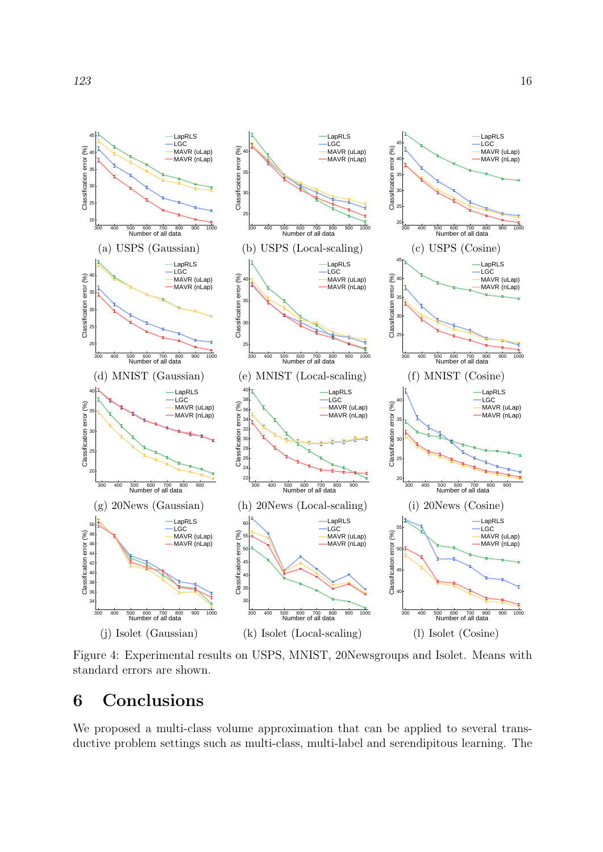

<span id="page-15-0"></span>Figure 4: Experimental results on USPS, MNIST, 20Newsgroups and Isolet. Means with standard errors are shown.

# 6 Conclusions

We proposed a multi-class volume approximation that can be applied to several transductive problem settings such as multi-class, multi-label and serendipitous learning. The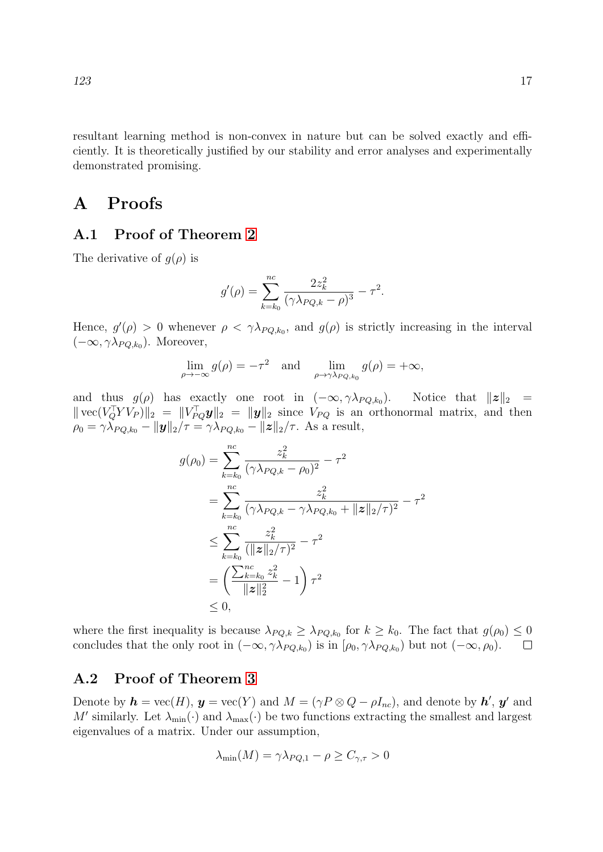resultant learning method is non-convex in nature but can be solved exactly and efficiently. It is theoretically justified by our stability and error analyses and experimentally demonstrated promising.

### A Proofs

#### A.1 Proof of Theorem [2](#page-9-1)

The derivative of  $g(\rho)$  is

$$
g'(\rho) = \sum_{k=k_0}^{nc} \frac{2z_k^2}{(\gamma \lambda_{PQ,k} - \rho)^3} - \tau^2.
$$

Hence,  $g'(\rho) > 0$  whenever  $\rho < \gamma \lambda_{PQ,k_0}$ , and  $g(\rho)$  is strictly increasing in the interval  $(-\infty, \gamma \lambda_{PQ,k_0})$ . Moreover,

$$
\lim_{\rho \to -\infty} g(\rho) = -\tau^2 \quad \text{and} \quad \lim_{\rho \to \gamma \lambda_{PQ,k_0}} g(\rho) = +\infty,
$$

and thus  $g(\rho)$  has exactly one root in  $(-\infty, \gamma \lambda_{PQ,k_0})$ . Notice that  $||z||_2 =$  $\| \text{vec}(V_Q^{\top} Y V_P) \|_2 = \| V_{PQ}^{\top} \mathbf{y} \|_2 = \| \mathbf{y} \|_2$  since  $V_{PQ}$  is an orthonormal matrix, and then  $\rho_0 = \gamma \lambda_{PQ,k_0} - ||\mathbf{y}||_2/\tau = \gamma \lambda_{PQ,k_0} - ||\mathbf{z}||_2/\tau$ . As a result,

$$
g(\rho_0) = \sum_{k=k_0}^{nc} \frac{z_k^2}{(\gamma \lambda_{PQ,k} - \rho_0)^2} - \tau^2
$$
  
= 
$$
\sum_{k=k_0}^{nc} \frac{z_k^2}{(\gamma \lambda_{PQ,k} - \gamma \lambda_{PQ,k_0} + ||z||_2/\tau)^2} - \tau^2
$$
  

$$
\leq \sum_{k=k_0}^{nc} \frac{z_k^2}{(||z||_2/\tau)^2} - \tau^2
$$
  
= 
$$
\left(\frac{\sum_{k=k_0}^{nc} z_k^2}{||z||_2^2} - 1\right) \tau^2
$$
  

$$
\leq 0,
$$

where the first inequality is because  $\lambda_{PQ,k} \geq \lambda_{PQ,k_0}$  for  $k \geq k_0$ . The fact that  $g(\rho_0) \leq 0$ concludes that the only root in  $(-\infty, \gamma \lambda_{PQ,k_0})$  is in  $[\rho_0, \gamma \lambda_{PQ,k_0})$  but not  $(-\infty, \rho_0)$ .

#### A.2 Proof of Theorem [3](#page-10-0)

Denote by  $h = \text{vec}(H)$ ,  $y = \text{vec}(Y)$  and  $M = (\gamma P \otimes Q - \rho I_{nc})$ , and denote by  $h'$ ,  $y'$  and M' similarly. Let  $\lambda_{\min}(\cdot)$  and  $\lambda_{\max}(\cdot)$  be two functions extracting the smallest and largest eigenvalues of a matrix. Under our assumption,

$$
\lambda_{\min}(M) = \gamma \lambda_{PQ,1} - \rho \ge C_{\gamma,\tau} > 0
$$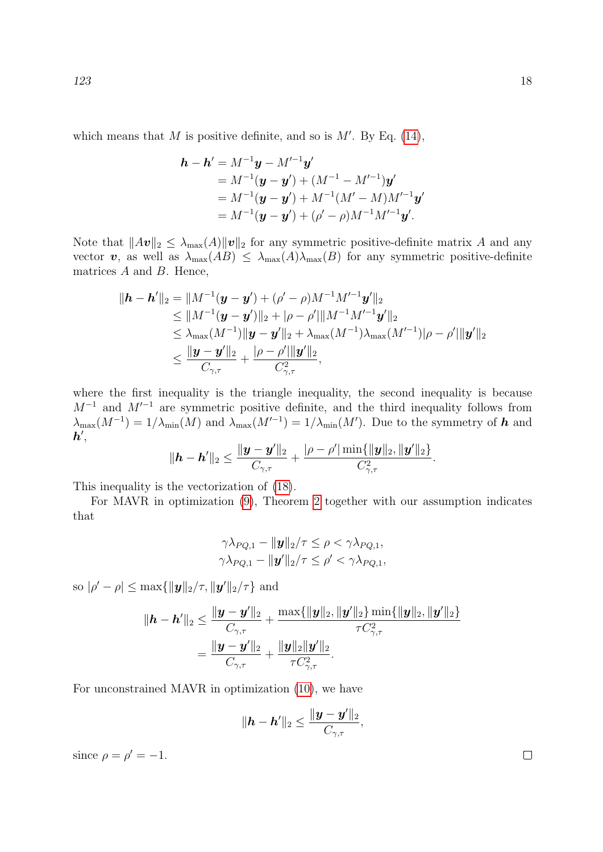which means that M is positive definite, and so is  $M'$ . By Eq. [\(14\)](#page-8-5),

$$
\mathbf{h} - \mathbf{h}' = M^{-1}\mathbf{y} - M'^{-1}\mathbf{y}'
$$
  
=  $M^{-1}(\mathbf{y} - \mathbf{y}') + (M^{-1} - M'^{-1})\mathbf{y}'$   
=  $M^{-1}(\mathbf{y} - \mathbf{y}') + M^{-1}(M' - M)M'^{-1}\mathbf{y}'$   
=  $M^{-1}(\mathbf{y} - \mathbf{y}') + (\rho' - \rho)M^{-1}M'^{-1}\mathbf{y}'.$ 

Note that  $||Av||_2 \leq \lambda_{\max}(A)||v||_2$  for any symmetric positive-definite matrix A and any vector v, as well as  $\lambda_{\max}(AB) \leq \lambda_{\max}(A)\lambda_{\max}(B)$  for any symmetric positive-definite matrices  $A$  and  $B$ . Hence,

$$
\begin{aligned}\n\|\boldsymbol{h} - \boldsymbol{h}'\|_2 &= \|M^{-1}(\boldsymbol{y} - \boldsymbol{y}') + (\rho' - \rho)M^{-1}M'^{-1}\boldsymbol{y}'\|_2 \\
&\le \|M^{-1}(\boldsymbol{y} - \boldsymbol{y}')\|_2 + |\rho - \rho'|\|M^{-1}M'^{-1}\boldsymbol{y}'\|_2 \\
&\le \lambda_{\max}(M^{-1})\|\boldsymbol{y} - \boldsymbol{y}'\|_2 + \lambda_{\max}(M^{-1})\lambda_{\max}(M'^{-1})|\rho - \rho'|\|\boldsymbol{y}'\|_2 \\
&\le \frac{\|\boldsymbol{y} - \boldsymbol{y}'\|_2}{C_{\gamma,\tau}} + \frac{|\rho - \rho'|\|\boldsymbol{y}'\|_2}{C_{\gamma,\tau}^2},\n\end{aligned}
$$

where the first inequality is the triangle inequality, the second inequality is because  $M^{-1}$  and  $M'^{-1}$  are symmetric positive definite, and the third inequality follows from  $\lambda_{\max}(M^{-1}) = 1/\lambda_{\min}(M)$  and  $\lambda_{\max}(M'^{-1}) = 1/\lambda_{\min}(M')$ . Due to the symmetry of h and  $\bm{h}' ,$ 

$$
\|\bm{h}-\bm{h}'\|_2 \leq \frac{\|\bm{y}-\bm{y}'\|_2}{C_{\gamma,\tau}} + \frac{|\rho-\rho'|\min\{\|\bm{y}\|_2, \|\bm{y}'\|_2\}}{C_{\gamma,\tau}^2}.
$$

This inequality is the vectorization of [\(18\)](#page-10-1).

For MAVR in optimization [\(9\)](#page-7-1), Theorem [2](#page-9-1) together with our assumption indicates that

$$
\gamma \lambda_{PQ,1} - \|\mathbf{y}\|_2/\tau \leq \rho < \gamma \lambda_{PQ,1},
$$
  

$$
\gamma \lambda_{PQ,1} - \|\mathbf{y}'\|_2/\tau \leq \rho' < \gamma \lambda_{PQ,1},
$$

so  $|\rho' - \rho| \le \max{\{\|\mathbf{y}\|_2/\tau, \|\mathbf{y}'\|_2/\tau\}}$  and

$$
\begin{aligned} \|\boldsymbol{h}-\boldsymbol{h}'\|_2 &\leq \frac{\|\boldsymbol{y}-\boldsymbol{y}'\|_2}{C_{\gamma,\tau}}+\frac{\max\{\|\boldsymbol{y}\|_2,\|\boldsymbol{y}'\|_2\}\min\{\|\boldsymbol{y}\|_2,\|\boldsymbol{y}'\|_2\}}{\tau C_{\gamma,\tau}^2} \\ &= \frac{\|\boldsymbol{y}-\boldsymbol{y}'\|_2}{C_{\gamma,\tau}}+\frac{\|\boldsymbol{y}\|_2\|\boldsymbol{y}'\|_2}{\tau C_{\gamma,\tau}^2} .\end{aligned}
$$

For unconstrained MAVR in optimization [\(10\)](#page-7-3), we have

$$
\|\bm{h}-\bm{h}'\|_2 \leq \frac{\|\bm{y}-\bm{y}'\|_2}{C_{\gamma,\tau}},
$$

since  $\rho = \rho' = -1$ .

 $\Box$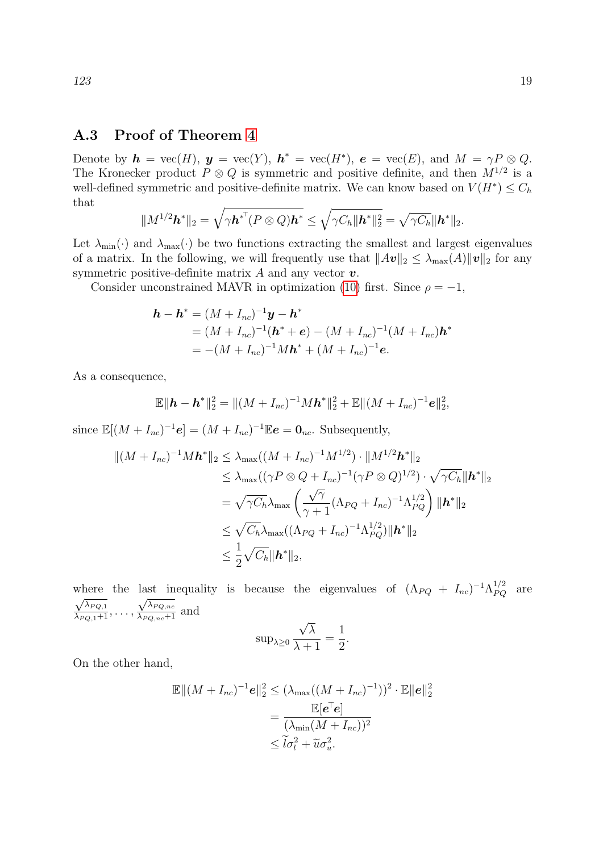### A.3 Proof of Theorem [4](#page-11-0)

Denote by  $h = \text{vec}(H)$ ,  $y = \text{vec}(Y)$ ,  $h^* = \text{vec}(H^*)$ ,  $e = \text{vec}(E)$ , and  $M = \gamma P \otimes Q$ . The Kronecker product  $P \otimes Q$  is symmetric and positive definite, and then  $M^{1/2}$  is a well-defined symmetric and positive-definite matrix. We can know based on  $V(H^*) \leq C_h$ that

$$
\|M^{1/2}\boldsymbol{h}^*\|_2=\sqrt{\gamma\boldsymbol{h}^{*T}(P\otimes Q)\boldsymbol{h}^*}\leq \sqrt{\gamma C_h\|\boldsymbol{h}^*\|_2^2}=\sqrt{\gamma C_h}\|\boldsymbol{h}^*\|_2.
$$

Let  $\lambda_{\min}(\cdot)$  and  $\lambda_{\max}(\cdot)$  be two functions extracting the smallest and largest eigenvalues of a matrix. In the following, we will frequently use that  $||A\boldsymbol{v}||_2 \leq \lambda_{\max}(A)||\boldsymbol{v}||_2$  for any symmetric positive-definite matrix  $A$  and any vector  $v$ .

Consider unconstrained MAVR in optimization [\(10\)](#page-7-3) first. Since  $\rho = -1$ ,

$$
\mathbf{h} - \mathbf{h}^* = (M + I_{nc})^{-1} \mathbf{y} - \mathbf{h}^*
$$
  
=  $(M + I_{nc})^{-1} (\mathbf{h}^* + \mathbf{e}) - (M + I_{nc})^{-1} (M + I_{nc}) \mathbf{h}^*$   
=  $-(M + I_{nc})^{-1} M \mathbf{h}^* + (M + I_{nc})^{-1} \mathbf{e}.$ 

As a consequence,

$$
\mathbb{E} \|\boldsymbol{h}-\boldsymbol{h}^*\|_2^2 = \|(M+I_{nc})^{-1}M\boldsymbol{h}^*\|_2^2 + \mathbb{E} \|(M+I_{nc})^{-1}\boldsymbol{e}\|_2^2,
$$

since  $\mathbb{E}[(M+I_{nc})^{-1}\mathbf{e}] = (M+I_{nc})^{-1}\mathbb{E}\mathbf{e} = \mathbf{0}_{nc}$ . Subsequently,

$$
\| (M + I_{nc})^{-1} M \mathbf{h}^* \|_2 \le \lambda_{\max} ((M + I_{nc})^{-1} M^{1/2}) \cdot \| M^{1/2} \mathbf{h}^* \|_2
$$
  
\n
$$
\le \lambda_{\max} ((\gamma P \otimes Q + I_{nc})^{-1} (\gamma P \otimes Q)^{1/2}) \cdot \sqrt{\gamma C_h} \| \mathbf{h}^* \|_2
$$
  
\n
$$
= \sqrt{\gamma C_h} \lambda_{\max} \left( \frac{\sqrt{\gamma}}{\gamma + 1} (\Lambda_{PQ} + I_{nc})^{-1} \Lambda_{PQ}^{1/2} \right) \| \mathbf{h}^* \|_2
$$
  
\n
$$
\le \sqrt{C_h} \lambda_{\max} ((\Lambda_{PQ} + I_{nc})^{-1} \Lambda_{PQ}^{1/2}) \| \mathbf{h}^* \|_2
$$
  
\n
$$
\le \frac{1}{2} \sqrt{C_h} \| \mathbf{h}^* \|_2,
$$

where the last inequality is because the eigenvalues of  $(\Lambda_{PQ} + I_{nc})^{-1} \Lambda_{PQ}^{1/2}$  are  $\frac{\sqrt{\lambda_{PQ,1}}}{\lambda_{PQ,1}+1}, \ldots,$  $\frac{\sqrt{\lambda_{PQ,nc}}}{\lambda_{PQ,nc}+1}$  and

$$
\sup\nolimits_{\lambda\geq0}\frac{\sqrt{\lambda}}{\lambda+1}=\frac{1}{2}.
$$

On the other hand,

$$
\mathbb{E} \|(M + I_{nc})^{-1} \mathbf{e}\|_{2}^{2} \leq (\lambda_{\max}((M + I_{nc})^{-1}))^{2} \cdot \mathbb{E} \|\mathbf{e}\|_{2}^{2}
$$

$$
= \frac{\mathbb{E}[\mathbf{e}^{\top} \mathbf{e}]}{(\lambda_{\min}(M + I_{nc}))^{2}}
$$

$$
\leq \tilde{l}\sigma_{l}^{2} + \tilde{u}\sigma_{u}^{2}.
$$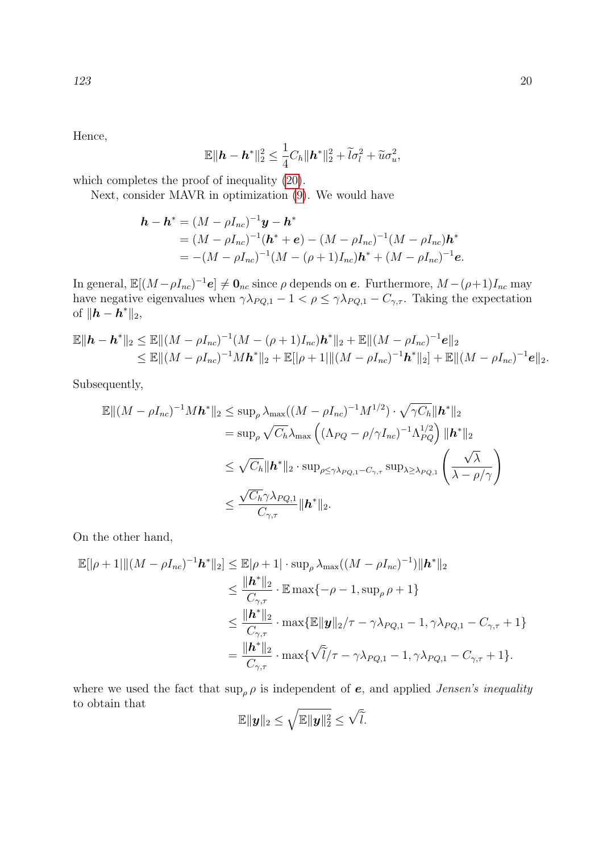Hence,

$$
\mathbb{E} \|\boldsymbol{h}-\boldsymbol{h}^*\|_2^2 \leq \frac{1}{4}C_h \|\boldsymbol{h}^*\|_2^2 + \widetilde{l}\sigma_l^2 + \widetilde{u}\sigma_u^2,
$$

which completes the proof of inequality [\(20\)](#page-11-1).

Next, consider MAVR in optimization [\(9\)](#page-7-1). We would have

$$
\mathbf{h} - \mathbf{h}^* = (M - \rho I_{nc})^{-1} \mathbf{y} - \mathbf{h}^*
$$
  
=  $(M - \rho I_{nc})^{-1} (\mathbf{h}^* + \mathbf{e}) - (M - \rho I_{nc})^{-1} (M - \rho I_{nc}) \mathbf{h}^*$   
=  $-(M - \rho I_{nc})^{-1} (M - (\rho + 1)I_{nc}) \mathbf{h}^* + (M - \rho I_{nc})^{-1} \mathbf{e}.$ 

In general,  $\mathbb{E}[(M-\rho I_{nc})^{-1}\mathbf{e}] \neq \mathbf{0}_{nc}$  since  $\rho$  depends on  $\mathbf{e}$ . Furthermore,  $M-(\rho+1)I_{nc}$  may have negative eigenvalues when  $\gamma \lambda_{PQ,1} - 1 < \rho \leq \gamma \lambda_{PQ,1} - C_{\gamma,\tau}$ . Taking the expectation of  $\|\bm{h} - \bm{h}^*\|_2$ ,

$$
\mathbb{E} \|\bm{h}-\bm{h}^*\|_2 \leq \mathbb{E} \|(M-\rho I_{nc})^{-1}(M-(\rho+1)I_{nc})\bm{h}^*\|_2 + \mathbb{E} \|(M-\rho I_{nc})^{-1}\bm{e}\|_2
$$
  
\n
$$
\leq \mathbb{E} \|(M-\rho I_{nc})^{-1}M\bm{h}^*\|_2 + \mathbb{E}[\rho+1| \|(M-\rho I_{nc})^{-1}\bm{h}^*\|_2] + \mathbb{E} \|(M-\rho I_{nc})^{-1}\bm{e}\|_2.
$$

Subsequently,

$$
\mathbb{E} \|(M - \rho I_{nc})^{-1} M \mathbf{h}^* \|_2 \le \sup_{\rho} \lambda_{\max} ((M - \rho I_{nc})^{-1} M^{1/2}) \cdot \sqrt{\gamma C_h} \|\mathbf{h}^*\|_2
$$
  
\n
$$
= \sup_{\rho} \sqrt{C_h} \lambda_{\max} \left( (\Lambda_{PQ} - \rho/\gamma I_{nc})^{-1} \Lambda_{PQ}^{1/2} \right) \|\mathbf{h}^*\|_2
$$
  
\n
$$
\le \sqrt{C_h} \|\mathbf{h}^*\|_2 \cdot \sup_{\rho \le \gamma \lambda_{PQ,1} - C_{\gamma,\tau}} \sup_{\lambda \ge \lambda_{PQ,1}} \left( \frac{\sqrt{\lambda}}{\lambda - \rho/\gamma} \right)
$$
  
\n
$$
\le \frac{\sqrt{C_h} \gamma \lambda_{PQ,1}}{C_{\gamma,\tau}} \|\mathbf{h}^*\|_2.
$$

On the other hand,

$$
\mathbb{E}[\|\rho+1|\|(M-\rho I_{nc})^{-1}\mathbf{h}^*\|_2] \leq \mathbb{E}|\rho+1| \cdot \sup_{\rho} \lambda_{\max}((M-\rho I_{nc})^{-1}) \|\mathbf{h}^*\|_2
$$
  
\n
$$
\leq \frac{\|\mathbf{h}^*\|_2}{C_{\gamma,\tau}} \cdot \mathbb{E} \max\{-\rho-1, \sup_{\rho} \rho+1\}
$$
  
\n
$$
\leq \frac{\|\mathbf{h}^*\|_2}{C_{\gamma,\tau}} \cdot \max\{\mathbb{E} \|\mathbf{y}\|_2/\tau - \gamma \lambda_{PQ,1} - 1, \gamma \lambda_{PQ,1} - C_{\gamma,\tau} + 1\}
$$
  
\n
$$
= \frac{\|\mathbf{h}^*\|_2}{C_{\gamma,\tau}} \cdot \max\{\sqrt{\tilde{l}}/\tau - \gamma \lambda_{PQ,1} - 1, \gamma \lambda_{PQ,1} - C_{\gamma,\tau} + 1\}.
$$

where we used the fact that  $\sup_{\rho} \rho$  is independent of e, and applied *Jensen's inequality* to obtain that

$$
\mathbb{E} \|\boldsymbol{y}\|_2 \leq \sqrt{\mathbb{E} \|\boldsymbol{y}\|_2^2} \leq \sqrt{\tilde{l}}.
$$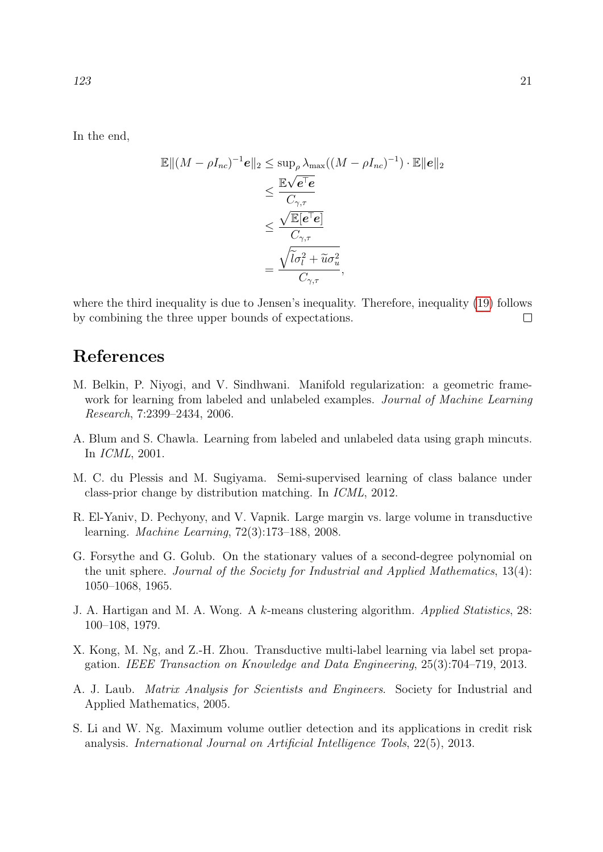In the end,

$$
\mathbb{E} \|(M - \rho I_{nc})^{-1} \mathbf{e}\|_{2} \le \sup_{\rho} \lambda_{\max} ((M - \rho I_{nc})^{-1}) \cdot \mathbb{E} \|\mathbf{e}\|_{2}
$$
  

$$
\le \frac{\mathbb{E} \sqrt{\mathbf{e}^{\top} \mathbf{e}}}{C_{\gamma,\tau}}
$$
  

$$
\le \frac{\sqrt{\mathbb{E}[\mathbf{e}^{\top} \mathbf{e}]}}{C_{\gamma,\tau}}
$$
  

$$
= \frac{\sqrt{\tilde{l}\sigma_{l}^{2} + \tilde{u}\sigma_{u}^{2}}}{C_{\gamma,\tau}},
$$

where the third inequality is due to Jensen's inequality. Therefore, inequality [\(19\)](#page-11-2) follows by combining the three upper bounds of expectations.  $\Box$ 

# References

- <span id="page-20-4"></span>M. Belkin, P. Niyogi, and V. Sindhwani. Manifold regularization: a geometric framework for learning from labeled and unlabeled examples. *Journal of Machine Learning* Research, 7:2399–2434, 2006.
- <span id="page-20-8"></span>A. Blum and S. Chawla. Learning from labeled and unlabeled data using graph mincuts. In ICML, 2001.
- <span id="page-20-7"></span>M. C. du Plessis and M. Sugiyama. Semi-supervised learning of class balance under class-prior change by distribution matching. In ICML, 2012.
- <span id="page-20-0"></span>R. El-Yaniv, D. Pechyony, and V. Vapnik. Large margin vs. large volume in transductive learning. Machine Learning, 72(3):173–188, 2008.
- <span id="page-20-3"></span>G. Forsythe and G. Golub. On the stationary values of a second-degree polynomial on the unit sphere. Journal of the Society for Industrial and Applied Mathematics, 13(4): 1050–1068, 1965.
- <span id="page-20-6"></span>J. A. Hartigan and M. A. Wong. A k-means clustering algorithm. Applied Statistics, 28: 100–108, 1979.
- <span id="page-20-2"></span>X. Kong, M. Ng, and Z.-H. Zhou. Transductive multi-label learning via label set propagation. IEEE Transaction on Knowledge and Data Engineering, 25(3):704–719, 2013.
- <span id="page-20-5"></span>A. J. Laub. Matrix Analysis for Scientists and Engineers. Society for Industrial and Applied Mathematics, 2005.
- <span id="page-20-1"></span>S. Li and W. Ng. Maximum volume outlier detection and its applications in credit risk analysis. International Journal on Artificial Intelligence Tools, 22(5), 2013.